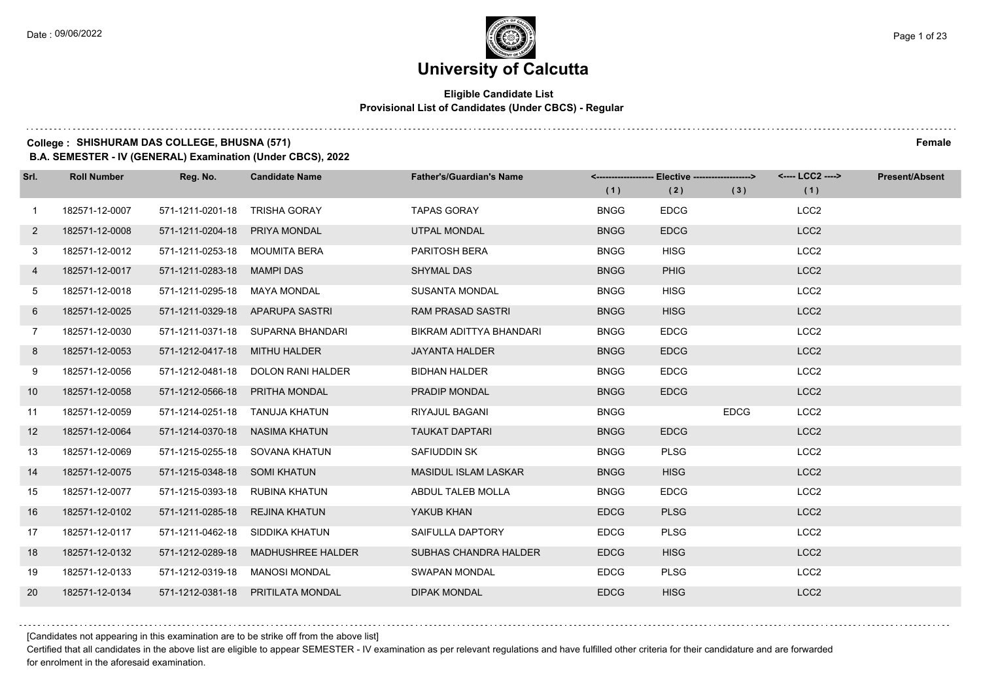#### **Eligible Candidate List Provisional List of Candidates (Under CBCS) - Regular**

### **College : SHISHURAM DAS COLLEGE, BHUSNA (571) Female**

**B.A. SEMESTER - IV (GENERAL) Examination (Under CBCS), 2022**

| Srl.           | <b>Roll Number</b> | Reg. No.                       | <b>Candidate Name</b>              | <b>Father's/Guardian's Name</b> | (1)         | <------------------- Elective -------------------><br>(2) | (3)         | <---- LCC2 ----><br>(1) | <b>Present/Absent</b> |
|----------------|--------------------|--------------------------------|------------------------------------|---------------------------------|-------------|-----------------------------------------------------------|-------------|-------------------------|-----------------------|
| $\overline{1}$ | 182571-12-0007     | 571-1211-0201-18               | <b>TRISHA GORAY</b>                | <b>TAPAS GORAY</b>              | <b>BNGG</b> | <b>EDCG</b>                                               |             | LCC <sub>2</sub>        |                       |
| $\mathbf{2}$   | 182571-12-0008     | 571-1211-0204-18               | <b>PRIYA MONDAL</b>                | <b>UTPAL MONDAL</b>             | <b>BNGG</b> | <b>EDCG</b>                                               |             | LCC <sub>2</sub>        |                       |
| 3              | 182571-12-0012     | 571-1211-0253-18 MOUMITA BERA  |                                    | <b>PARITOSH BERA</b>            | <b>BNGG</b> | <b>HISG</b>                                               |             | LCC <sub>2</sub>        |                       |
| 4              | 182571-12-0017     | 571-1211-0283-18 MAMPI DAS     |                                    | <b>SHYMAL DAS</b>               | <b>BNGG</b> | <b>PHIG</b>                                               |             | LCC <sub>2</sub>        |                       |
| 5              | 182571-12-0018     | 571-1211-0295-18               | MAYA MONDAL                        | <b>SUSANTA MONDAL</b>           | <b>BNGG</b> | <b>HISG</b>                                               |             | LCC <sub>2</sub>        |                       |
| 6              | 182571-12-0025     |                                | 571-1211-0329-18 APARUPA SASTRI    | <b>RAM PRASAD SASTRI</b>        | <b>BNGG</b> | <b>HISG</b>                                               |             | LCC <sub>2</sub>        |                       |
| $\overline{7}$ | 182571-12-0030     |                                | 571-1211-0371-18 SUPARNA BHANDARI  | BIKRAM ADITTYA BHANDARI         | <b>BNGG</b> | <b>EDCG</b>                                               |             | LCC <sub>2</sub>        |                       |
| 8              | 182571-12-0053     | 571-1212-0417-18 MITHU HALDER  |                                    | <b>JAYANTA HALDER</b>           | <b>BNGG</b> | <b>EDCG</b>                                               |             | LCC <sub>2</sub>        |                       |
| 9              | 182571-12-0056     |                                | 571-1212-0481-18 DOLON RANI HALDER | <b>BIDHAN HALDER</b>            | <b>BNGG</b> | <b>EDCG</b>                                               |             | LCC <sub>2</sub>        |                       |
| 10             | 182571-12-0058     | 571-1212-0566-18               | PRITHA MONDAL                      | <b>PRADIP MONDAL</b>            | <b>BNGG</b> | <b>EDCG</b>                                               |             | LCC <sub>2</sub>        |                       |
| 11             | 182571-12-0059     |                                | 571-1214-0251-18 TANUJA KHATUN     | RIYAJUL BAGANI                  | <b>BNGG</b> |                                                           | <b>EDCG</b> | LCC <sub>2</sub>        |                       |
| 12             | 182571-12-0064     | 571-1214-0370-18 NASIMA KHATUN |                                    | <b>TAUKAT DAPTARI</b>           | <b>BNGG</b> | <b>EDCG</b>                                               |             | LCC <sub>2</sub>        |                       |
| 13             | 182571-12-0069     | 571-1215-0255-18               | SOVANA KHATUN                      | SAFIUDDIN SK                    | <b>BNGG</b> | <b>PLSG</b>                                               |             | LCC <sub>2</sub>        |                       |
| 14             | 182571-12-0075     | 571-1215-0348-18 SOMI KHATUN   |                                    | <b>MASIDUL ISLAM LASKAR</b>     | <b>BNGG</b> | <b>HISG</b>                                               |             | LCC <sub>2</sub>        |                       |
| 15             | 182571-12-0077     | 571-1215-0393-18               | RUBINA KHATUN                      | ABDUL TALEB MOLLA               | <b>BNGG</b> | <b>EDCG</b>                                               |             | LCC <sub>2</sub>        |                       |
| 16             | 182571-12-0102     | 571-1211-0285-18               | REJINA KHATUN                      | YAKUB KHAN                      | <b>EDCG</b> | <b>PLSG</b>                                               |             | LCC <sub>2</sub>        |                       |
| 17             | 182571-12-0117     | 571-1211-0462-18               | SIDDIKA KHATUN                     | SAIFULLA DAPTORY                | <b>EDCG</b> | <b>PLSG</b>                                               |             | LCC <sub>2</sub>        |                       |
| 18             | 182571-12-0132     | 571-1212-0289-18               | <b>MADHUSHREE HALDER</b>           | <b>SUBHAS CHANDRA HALDER</b>    | <b>EDCG</b> | <b>HISG</b>                                               |             | LCC <sub>2</sub>        |                       |
| 19             | 182571-12-0133     | 571-1212-0319-18               | <b>MANOSI MONDAL</b>               | <b>SWAPAN MONDAL</b>            | <b>EDCG</b> | <b>PLSG</b>                                               |             | LCC <sub>2</sub>        |                       |
| 20             | 182571-12-0134     | 571-1212-0381-18               | <b>PRITILATA MONDAL</b>            | <b>DIPAK MONDAL</b>             | <b>EDCG</b> | <b>HISG</b>                                               |             | LCC <sub>2</sub>        |                       |

[Candidates not appearing in this examination are to be strike off from the above list]

Certified that all candidates in the above list are eligible to appear SEMESTER - IV examination as per relevant regulations and have fulfilled other criteria for their candidature and are forwarded for enrolment in the aforesaid examination.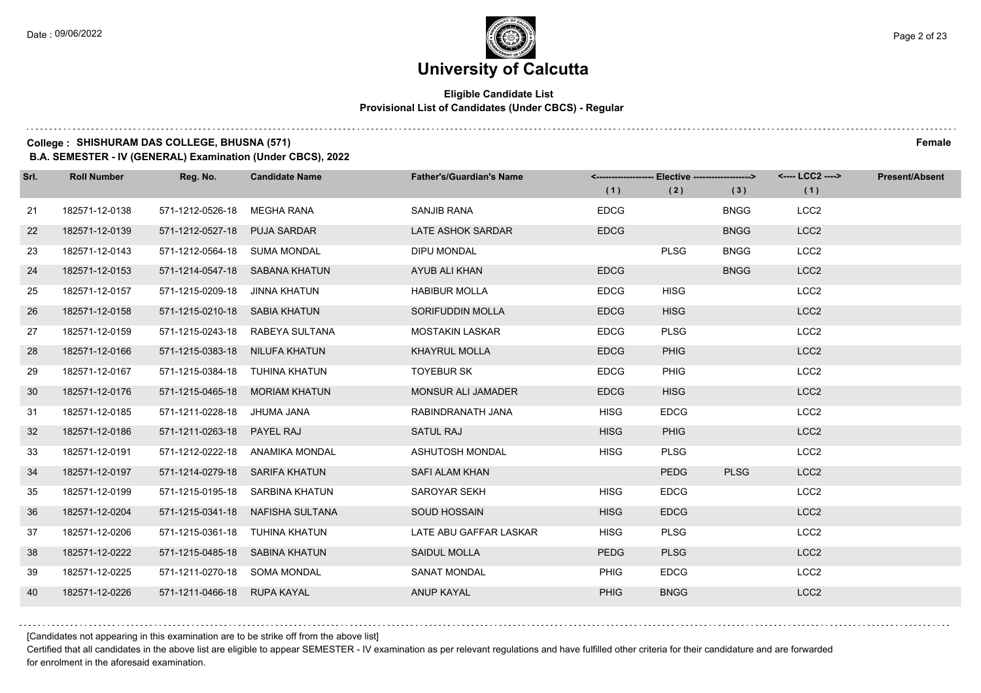$1.111$ 

# **University of Calcutta**

#### **Eligible Candidate List Provisional List of Candidates (Under CBCS) - Regular**

### **College : SHISHURAM DAS COLLEGE, BHUSNA (571) Female**

**B.A. SEMESTER - IV (GENERAL) Examination (Under CBCS), 2022**

| Srl. | <b>Roll Number</b> | Reg. No.                       | <b>Candidate Name</b>            | <b>Father's/Guardian's Name</b> | (1)         | <-------------------- Elective -------------------><br>(2) | (3)         | <---- LCC2 ----><br>(1) | <b>Present/Absent</b> |
|------|--------------------|--------------------------------|----------------------------------|---------------------------------|-------------|------------------------------------------------------------|-------------|-------------------------|-----------------------|
| 21   | 182571-12-0138     | 571-1212-0526-18               | MEGHA RANA                       | SANJIB RANA                     | <b>EDCG</b> |                                                            | <b>BNGG</b> | LCC <sub>2</sub>        |                       |
| 22   | 182571-12-0139     | 571-1212-0527-18               | <b>PUJA SARDAR</b>               | <b>LATE ASHOK SARDAR</b>        | <b>EDCG</b> |                                                            | <b>BNGG</b> | LCC <sub>2</sub>        |                       |
| 23   | 182571-12-0143     | 571-1212-0564-18 SUMA MONDAL   |                                  | <b>DIPU MONDAL</b>              |             | <b>PLSG</b>                                                | <b>BNGG</b> | LCC <sub>2</sub>        |                       |
| 24   | 182571-12-0153     | 571-1214-0547-18 SABANA KHATUN |                                  | AYUB ALI KHAN                   | <b>EDCG</b> |                                                            | <b>BNGG</b> | LCC <sub>2</sub>        |                       |
| 25   | 182571-12-0157     | 571-1215-0209-18               | JINNA KHATUN                     | <b>HABIBUR MOLLA</b>            | <b>EDCG</b> | <b>HISG</b>                                                |             | LCC <sub>2</sub>        |                       |
| 26   | 182571-12-0158     | 571-1215-0210-18 SABIA KHATUN  |                                  | SORIFUDDIN MOLLA                | <b>EDCG</b> | <b>HISG</b>                                                |             | LCC <sub>2</sub>        |                       |
| 27   | 182571-12-0159     |                                | 571-1215-0243-18 RABEYA SULTANA  | <b>MOSTAKIN LASKAR</b>          | <b>EDCG</b> | <b>PLSG</b>                                                |             | LCC <sub>2</sub>        |                       |
| 28   | 182571-12-0166     | 571-1215-0383-18 NILUFA KHATUN |                                  | <b>KHAYRUL MOLLA</b>            | <b>EDCG</b> | <b>PHIG</b>                                                |             | LCC <sub>2</sub>        |                       |
| 29   | 182571-12-0167     | 571-1215-0384-18 TUHINA KHATUN |                                  | <b>TOYEBUR SK</b>               | <b>EDCG</b> | <b>PHIG</b>                                                |             | LCC <sub>2</sub>        |                       |
| 30   | 182571-12-0176     |                                | 571-1215-0465-18 MORIAM KHATUN   | MONSUR ALI JAMADER              | <b>EDCG</b> | <b>HISG</b>                                                |             | LCC <sub>2</sub>        |                       |
| 31   | 182571-12-0185     | 571-1211-0228-18 JHUMA JANA    |                                  | RABINDRANATH JANA               | <b>HISG</b> | <b>EDCG</b>                                                |             | LCC <sub>2</sub>        |                       |
| 32   | 182571-12-0186     | 571-1211-0263-18 PAYEL RAJ     |                                  | <b>SATUL RAJ</b>                | <b>HISG</b> | <b>PHIG</b>                                                |             | LCC <sub>2</sub>        |                       |
| 33   | 182571-12-0191     | 571-1212-0222-18               | ANAMIKA MONDAL                   | ASHUTOSH MONDAL                 | <b>HISG</b> | <b>PLSG</b>                                                |             | LCC <sub>2</sub>        |                       |
| 34   | 182571-12-0197     | 571-1214-0279-18 SARIFA KHATUN |                                  | SAFI ALAM KHAN                  |             | <b>PEDG</b>                                                | <b>PLSG</b> | LCC <sub>2</sub>        |                       |
| 35   | 182571-12-0199     |                                | 571-1215-0195-18 SARBINA KHATUN  | SAROYAR SEKH                    | <b>HISG</b> | <b>EDCG</b>                                                |             | LCC <sub>2</sub>        |                       |
| 36   | 182571-12-0204     |                                | 571-1215-0341-18 NAFISHA SULTANA | <b>SOUD HOSSAIN</b>             | <b>HISG</b> | <b>EDCG</b>                                                |             | LCC <sub>2</sub>        |                       |
| 37   | 182571-12-0206     | 571-1215-0361-18               | TUHINA KHATUN                    | LATE ABU GAFFAR LASKAR          | <b>HISG</b> | <b>PLSG</b>                                                |             | LCC <sub>2</sub>        |                       |
| 38   | 182571-12-0222     | 571-1215-0485-18 SABINA KHATUN |                                  | SAIDUL MOLLA                    | <b>PEDG</b> | <b>PLSG</b>                                                |             | LCC <sub>2</sub>        |                       |
| 39   | 182571-12-0225     | 571-1211-0270-18 SOMA MONDAL   |                                  | <b>SANAT MONDAL</b>             | <b>PHIG</b> | <b>EDCG</b>                                                |             | LCC <sub>2</sub>        |                       |
| 40   | 182571-12-0226     | 571-1211-0466-18 RUPA KAYAL    |                                  | <b>ANUP KAYAL</b>               | <b>PHIG</b> | <b>BNGG</b>                                                |             | LCC <sub>2</sub>        |                       |

[Candidates not appearing in this examination are to be strike off from the above list]

Certified that all candidates in the above list are eligible to appear SEMESTER - IV examination as per relevant regulations and have fulfilled other criteria for their candidature and are forwarded for enrolment in the aforesaid examination.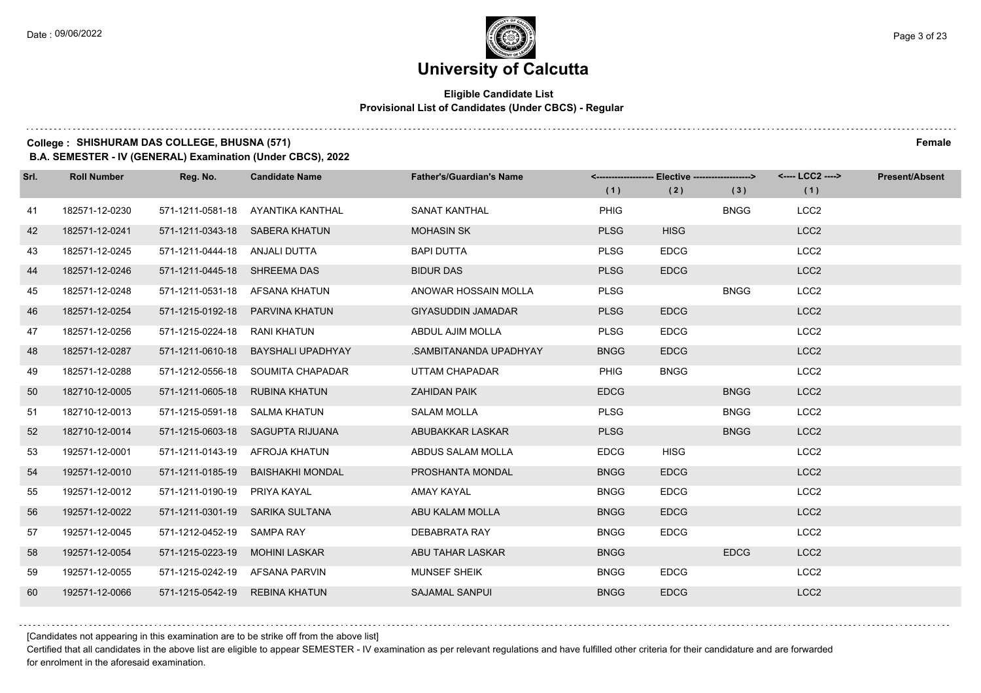#### **Eligible Candidate List Provisional List of Candidates (Under CBCS) - Regular**

### **College : SHISHURAM DAS COLLEGE, BHUSNA (571) Female**

**B.A. SEMESTER - IV (GENERAL) Examination (Under CBCS), 2022**

| Srl. | <b>Roll Number</b> | Reg. No.                       | <b>Candidate Name</b>             | <b>Father's/Guardian's Name</b> |             | <------------------- Elective ------------------> |             | <---- LCC2 ----> | <b>Present/Absent</b> |
|------|--------------------|--------------------------------|-----------------------------------|---------------------------------|-------------|---------------------------------------------------|-------------|------------------|-----------------------|
|      |                    |                                |                                   |                                 | (1)         | (2)                                               | (3)         | (1)              |                       |
| 41   | 182571-12-0230     |                                | 571-1211-0581-18 AYANTIKA KANTHAL | SANAT KANTHAL                   | <b>PHIG</b> |                                                   | <b>BNGG</b> | LCC <sub>2</sub> |                       |
| 42   | 182571-12-0241     | 571-1211-0343-18 SABERA KHATUN |                                   | <b>MOHASIN SK</b>               | <b>PLSG</b> | <b>HISG</b>                                       |             | LCC <sub>2</sub> |                       |
| 43   | 182571-12-0245     | 571-1211-0444-18 ANJALI DUTTA  |                                   | <b>BAPI DUTTA</b>               | <b>PLSG</b> | <b>EDCG</b>                                       |             | LCC <sub>2</sub> |                       |
| 44   | 182571-12-0246     | 571-1211-0445-18 SHREEMA DAS   |                                   | <b>BIDUR DAS</b>                | <b>PLSG</b> | <b>EDCG</b>                                       |             | LCC <sub>2</sub> |                       |
| 45   | 182571-12-0248     | 571-1211-0531-18 AFSANA KHATUN |                                   | ANOWAR HOSSAIN MOLLA            | <b>PLSG</b> |                                                   | <b>BNGG</b> | LCC <sub>2</sub> |                       |
| 46   | 182571-12-0254     | 571-1215-0192-18               | PARVINA KHATUN                    | <b>GIYASUDDIN JAMADAR</b>       | <b>PLSG</b> | <b>EDCG</b>                                       |             | LCC <sub>2</sub> |                       |
| 47   | 182571-12-0256     | 571-1215-0224-18 RANI KHATUN   |                                   | ABDUL AJIM MOLLA                | <b>PLSG</b> | <b>EDCG</b>                                       |             | LCC <sub>2</sub> |                       |
| 48   | 182571-12-0287     | 571-1211-0610-18               | <b>BAYSHALI UPADHYAY</b>          | .SAMBITANANDA UPADHYAY          | <b>BNGG</b> | <b>EDCG</b>                                       |             | LCC <sub>2</sub> |                       |
| 49   | 182571-12-0288     |                                | 571-1212-0556-18 SOUMITA CHAPADAR | UTTAM CHAPADAR                  | PHIG        | <b>BNGG</b>                                       |             | LCC <sub>2</sub> |                       |
| 50   | 182710-12-0005     | 571-1211-0605-18               | RUBINA KHATUN                     | <b>ZAHIDAN PAIK</b>             | <b>EDCG</b> |                                                   | <b>BNGG</b> | LCC <sub>2</sub> |                       |
| 51   | 182710-12-0013     | 571-1215-0591-18 SALMA KHATUN  |                                   | <b>SALAM MOLLA</b>              | <b>PLSG</b> |                                                   | <b>BNGG</b> | LCC <sub>2</sub> |                       |
| 52   | 182710-12-0014     |                                | 571-1215-0603-18 SAGUPTA RIJUANA  | ABUBAKKAR LASKAR                | <b>PLSG</b> |                                                   | <b>BNGG</b> | LCC <sub>2</sub> |                       |
| 53   | 192571-12-0001     | 571-1211-0143-19 AFROJA KHATUN |                                   | ABDUS SALAM MOLLA               | <b>EDCG</b> | <b>HISG</b>                                       |             | LCC <sub>2</sub> |                       |
| 54   | 192571-12-0010     | 571-1211-0185-19               | BAISHAKHI MONDAL                  | PROSHANTA MONDAL                | <b>BNGG</b> | <b>EDCG</b>                                       |             | LCC <sub>2</sub> |                       |
| 55   | 192571-12-0012     | 571-1211-0190-19               | PRIYA KAYAL                       | AMAY KAYAL                      | <b>BNGG</b> | <b>EDCG</b>                                       |             | LCC <sub>2</sub> |                       |
| 56   | 192571-12-0022     |                                | 571-1211-0301-19 SARIKA SULTANA   | ABU KALAM MOLLA                 | <b>BNGG</b> | <b>EDCG</b>                                       |             | LCC <sub>2</sub> |                       |
| 57   | 192571-12-0045     | 571-1212-0452-19               | SAMPA RAY                         | DEBABRATA RAY                   | <b>BNGG</b> | <b>EDCG</b>                                       |             | LCC <sub>2</sub> |                       |
| 58   | 192571-12-0054     | 571-1215-0223-19               | <b>MOHINI LASKAR</b>              | ABU TAHAR LASKAR                | <b>BNGG</b> |                                                   | <b>EDCG</b> | LCC <sub>2</sub> |                       |
| 59   | 192571-12-0055     | 571-1215-0242-19 AFSANA PARVIN |                                   | MUNSEF SHEIK                    | <b>BNGG</b> | <b>EDCG</b>                                       |             | LCC <sub>2</sub> |                       |
| 60   | 192571-12-0066     | 571-1215-0542-19               | <b>REBINA KHATUN</b>              | <b>SAJAMAL SANPUI</b>           | <b>BNGG</b> | <b>EDCG</b>                                       |             | LCC <sub>2</sub> |                       |

[Candidates not appearing in this examination are to be strike off from the above list]

Certified that all candidates in the above list are eligible to appear SEMESTER - IV examination as per relevant regulations and have fulfilled other criteria for their candidature and are forwarded for enrolment in the aforesaid examination.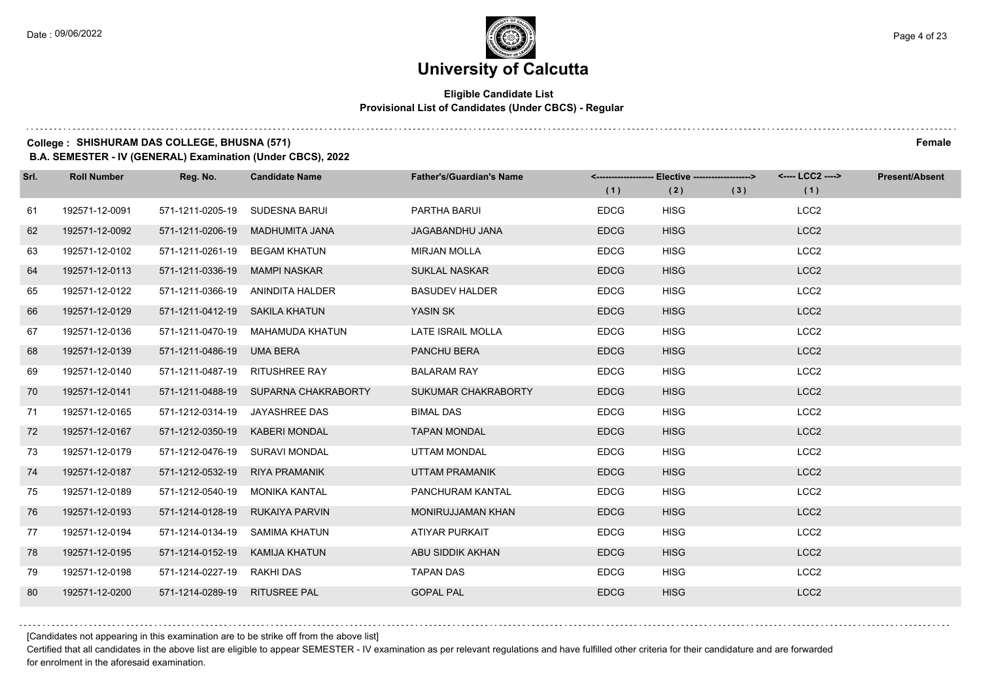#### **Eligible Candidate List Provisional List of Candidates (Under CBCS) - Regular**

### **College : SHISHURAM DAS COLLEGE, BHUSNA (571) Female**

**B.A. SEMESTER - IV (GENERAL) Examination (Under CBCS), 2022**

| Srl. | <b>Roll Number</b> | Reg. No.                  | <b>Candidate Name</b>                | <b>Father's/Guardian's Name</b> |             | <-------------------- Elective ------------------> |     | <---- LCC2 ----> | <b>Present/Absent</b> |
|------|--------------------|---------------------------|--------------------------------------|---------------------------------|-------------|----------------------------------------------------|-----|------------------|-----------------------|
|      |                    |                           |                                      |                                 | (1)         | (2)                                                | (3) | (1)              |                       |
| 61   | 192571-12-0091     | 571-1211-0205-19          | SUDESNA BARUI                        | PARTHA BARUI                    | <b>EDCG</b> | <b>HISG</b>                                        |     | LCC <sub>2</sub> |                       |
| 62   | 192571-12-0092     | 571-1211-0206-19          | MADHUMITA JANA                       | <b>JAGABANDHU JANA</b>          | <b>EDCG</b> | <b>HISG</b>                                        |     | LCC <sub>2</sub> |                       |
| 63   | 192571-12-0102     | 571-1211-0261-19          | <b>BEGAM KHATUN</b>                  | <b>MIRJAN MOLLA</b>             | <b>EDCG</b> | <b>HISG</b>                                        |     | LCC <sub>2</sub> |                       |
| 64   | 192571-12-0113     | 571-1211-0336-19          | <b>MAMPI NASKAR</b>                  | <b>SUKLAL NASKAR</b>            | <b>EDCG</b> | <b>HISG</b>                                        |     | LCC <sub>2</sub> |                       |
| 65   | 192571-12-0122     | 571-1211-0366-19          | ANINDITA HALDER                      | <b>BASUDEV HALDER</b>           | <b>EDCG</b> | <b>HISG</b>                                        |     | LCC <sub>2</sub> |                       |
| 66   | 192571-12-0129     | 571-1211-0412-19          | SAKILA KHATUN                        | YASIN SK                        | <b>EDCG</b> | <b>HISG</b>                                        |     | LCC <sub>2</sub> |                       |
| 67   | 192571-12-0136     | 571-1211-0470-19          | MAHAMUDA KHATUN                      | LATE ISRAIL MOLLA               | <b>EDCG</b> | <b>HISG</b>                                        |     | LCC <sub>2</sub> |                       |
| 68   | 192571-12-0139     | 571-1211-0486-19 UMA BERA |                                      | PANCHU BERA                     | <b>EDCG</b> | <b>HISG</b>                                        |     | LCC <sub>2</sub> |                       |
| 69   | 192571-12-0140     | 571-1211-0487-19          | <b>RITUSHREE RAY</b>                 | <b>BALARAM RAY</b>              | <b>EDCG</b> | <b>HISG</b>                                        |     | LCC <sub>2</sub> |                       |
| 70   | 192571-12-0141     |                           | 571-1211-0488-19 SUPARNA CHAKRABORTY | SUKUMAR CHAKRABORTY             | <b>EDCG</b> | <b>HISG</b>                                        |     | LCC <sub>2</sub> |                       |
| 71   | 192571-12-0165     |                           | 571-1212-0314-19 JAYASHREE DAS       | <b>BIMAL DAS</b>                | <b>EDCG</b> | <b>HISG</b>                                        |     | LCC <sub>2</sub> |                       |
| 72   | 192571-12-0167     | 571-1212-0350-19          | <b>KABERI MONDAL</b>                 | <b>TAPAN MONDAL</b>             | <b>EDCG</b> | <b>HISG</b>                                        |     | LCC <sub>2</sub> |                       |
| 73   | 192571-12-0179     | 571-1212-0476-19          | <b>SURAVI MONDAL</b>                 | <b>UTTAM MONDAL</b>             | <b>EDCG</b> | <b>HISG</b>                                        |     | LCC <sub>2</sub> |                       |
| 74   | 192571-12-0187     | 571-1212-0532-19          | <b>RIYA PRAMANIK</b>                 | <b>UTTAM PRAMANIK</b>           | <b>EDCG</b> | <b>HISG</b>                                        |     | LCC <sub>2</sub> |                       |
| 75   | 192571-12-0189     | 571-1212-0540-19          | MONIKA KANTAL                        | PANCHURAM KANTAL                | <b>EDCG</b> | <b>HISG</b>                                        |     | LCC <sub>2</sub> |                       |
| 76   | 192571-12-0193     | 571-1214-0128-19          | RUKAIYA PARVIN                       | <b>MONIRUJJAMAN KHAN</b>        | <b>EDCG</b> | <b>HISG</b>                                        |     | LCC <sub>2</sub> |                       |
| 77   | 192571-12-0194     | 571-1214-0134-19          | <b>SAMIMA KHATUN</b>                 | ATIYAR PURKAIT                  | <b>EDCG</b> | <b>HISG</b>                                        |     | LCC <sub>2</sub> |                       |
| 78   | 192571-12-0195     | 571-1214-0152-19          | KAMIJA KHATUN                        | ABU SIDDIK AKHAN                | <b>EDCG</b> | <b>HISG</b>                                        |     | LCC <sub>2</sub> |                       |
| 79   | 192571-12-0198     | 571-1214-0227-19          | RAKHI DAS                            | <b>TAPAN DAS</b>                | <b>EDCG</b> | <b>HISG</b>                                        |     | LCC <sub>2</sub> |                       |
| 80   | 192571-12-0200     | 571-1214-0289-19          | <b>RITUSREE PAL</b>                  | <b>GOPAL PAL</b>                | <b>EDCG</b> | <b>HISG</b>                                        |     | LCC <sub>2</sub> |                       |

[Candidates not appearing in this examination are to be strike off from the above list]

Certified that all candidates in the above list are eligible to appear SEMESTER - IV examination as per relevant regulations and have fulfilled other criteria for their candidature and are forwarded for enrolment in the aforesaid examination.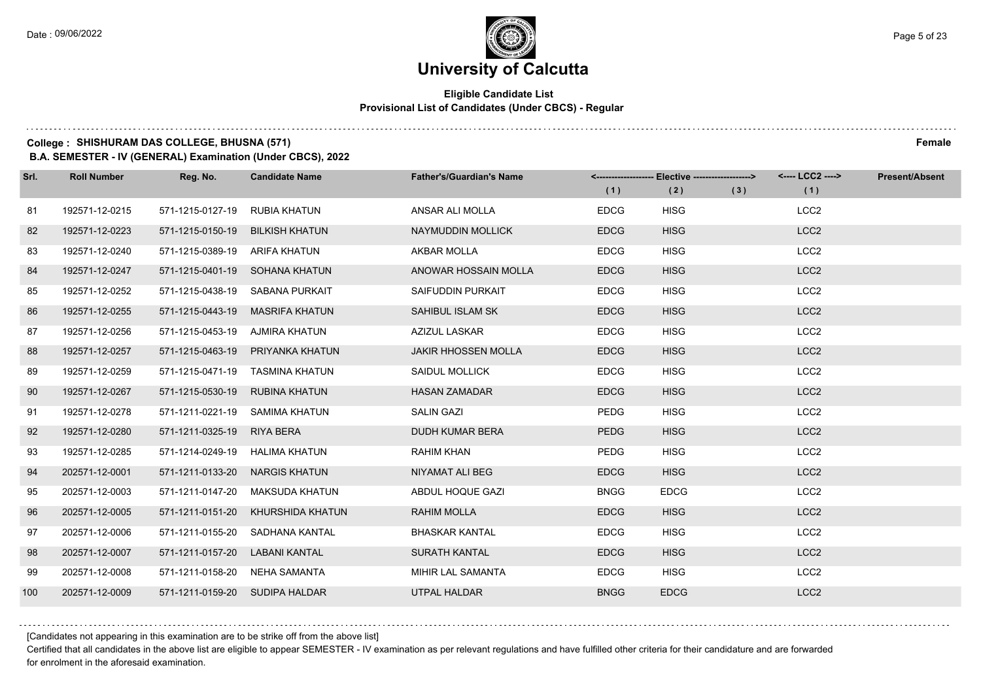#### **Eligible Candidate List Provisional List of Candidates (Under CBCS) - Regular**

### **College : SHISHURAM DAS COLLEGE, BHUSNA (571) Female**

**B.A. SEMESTER - IV (GENERAL) Examination (Under CBCS), 2022**

| Srl. | <b>Roll Number</b> | Reg. No.                       | <b>Candidate Name</b>          | <b>Father's/Guardian's Name</b> | (1)         | <-------------------- Elective -------------------><br>(2) | (3) | <---- LCC2 ----><br>(1) | <b>Present/Absent</b> |
|------|--------------------|--------------------------------|--------------------------------|---------------------------------|-------------|------------------------------------------------------------|-----|-------------------------|-----------------------|
| 81   | 192571-12-0215     | 571-1215-0127-19               | <b>RUBIA KHATUN</b>            | ANSAR ALI MOLLA                 | <b>EDCG</b> | <b>HISG</b>                                                |     | LCC <sub>2</sub>        |                       |
| 82   | 192571-12-0223     | 571-1215-0150-19               | <b>BILKISH KHATUN</b>          | NAYMUDDIN MOLLICK               | <b>EDCG</b> | <b>HISG</b>                                                |     | LCC <sub>2</sub>        |                       |
| 83   | 192571-12-0240     | 571-1215-0389-19 ARIFA KHATUN  |                                | <b>AKBAR MOLLA</b>              | <b>EDCG</b> | <b>HISG</b>                                                |     | LCC <sub>2</sub>        |                       |
| 84   | 192571-12-0247     |                                | 571-1215-0401-19 SOHANA KHATUN | ANOWAR HOSSAIN MOLLA            | <b>EDCG</b> | <b>HISG</b>                                                |     | LCC <sub>2</sub>        |                       |
| 85   | 192571-12-0252     | 571-1215-0438-19               | SABANA PURKAIT                 | SAIFUDDIN PURKAIT               | <b>EDCG</b> | <b>HISG</b>                                                |     | LCC <sub>2</sub>        |                       |
| 86   | 192571-12-0255     | 571-1215-0443-19               | <b>MASRIFA KHATUN</b>          | SAHIBUL ISLAM SK                | <b>EDCG</b> | <b>HISG</b>                                                |     | LCC <sub>2</sub>        |                       |
| 87   | 192571-12-0256     | 571-1215-0453-19 AJMIRA KHATUN |                                | AZIZUL LASKAR                   | <b>EDCG</b> | <b>HISG</b>                                                |     | LCC <sub>2</sub>        |                       |
| 88   | 192571-12-0257     | 571-1215-0463-19               | PRIYANKA KHATUN                | <b>JAKIR HHOSSEN MOLLA</b>      | <b>EDCG</b> | <b>HISG</b>                                                |     | LCC <sub>2</sub>        |                       |
| 89   | 192571-12-0259     | 571-1215-0471-19               | TASMINA KHATUN                 | <b>SAIDUL MOLLICK</b>           | <b>EDCG</b> | <b>HISG</b>                                                |     | LCC <sub>2</sub>        |                       |
| 90   | 192571-12-0267     | 571-1215-0530-19               | RUBINA KHATUN                  | <b>HASAN ZAMADAR</b>            | <b>EDCG</b> | <b>HISG</b>                                                |     | LCC <sub>2</sub>        |                       |
| 91   | 192571-12-0278     |                                | 571-1211-0221-19 SAMIMA KHATUN | <b>SALIN GAZI</b>               | <b>PEDG</b> | <b>HISG</b>                                                |     | LCC <sub>2</sub>        |                       |
| 92   | 192571-12-0280     | 571-1211-0325-19               | RIYA BERA                      | DUDH KUMAR BERA                 | <b>PEDG</b> | <b>HISG</b>                                                |     | LCC <sub>2</sub>        |                       |
| 93   | 192571-12-0285     | 571-1214-0249-19               | <b>HALIMA KHATUN</b>           | RAHIM KHAN                      | <b>PEDG</b> | <b>HISG</b>                                                |     | LCC <sub>2</sub>        |                       |
| 94   | 202571-12-0001     | 571-1211-0133-20               | <b>NARGIS KHATUN</b>           | NIYAMAT ALI BEG                 | <b>EDCG</b> | <b>HISG</b>                                                |     | LCC <sub>2</sub>        |                       |
| 95   | 202571-12-0003     | 571-1211-0147-20               | MAKSUDA KHATUN                 | ABDUL HOQUE GAZI                | <b>BNGG</b> | <b>EDCG</b>                                                |     | LCC <sub>2</sub>        |                       |
| 96   | 202571-12-0005     | 571-1211-0151-20               | KHURSHIDA KHATUN               | <b>RAHIM MOLLA</b>              | <b>EDCG</b> | <b>HISG</b>                                                |     | LCC <sub>2</sub>        |                       |
| 97   | 202571-12-0006     | 571-1211-0155-20               | SADHANA KANTAL                 | <b>BHASKAR KANTAL</b>           | <b>EDCG</b> | <b>HISG</b>                                                |     | LCC <sub>2</sub>        |                       |
| 98   | 202571-12-0007     | 571-1211-0157-20               | <b>LABANI KANTAL</b>           | <b>SURATH KANTAL</b>            | <b>EDCG</b> | <b>HISG</b>                                                |     | LCC <sub>2</sub>        |                       |
| 99   | 202571-12-0008     | 571-1211-0158-20               | NEHA SAMANTA                   | MIHIR LAL SAMANTA               | <b>EDCG</b> | <b>HISG</b>                                                |     | LCC <sub>2</sub>        |                       |
| 100  | 202571-12-0009     | 571-1211-0159-20 SUDIPA HALDAR |                                | <b>UTPAL HALDAR</b>             | <b>BNGG</b> | <b>EDCG</b>                                                |     | LCC <sub>2</sub>        |                       |

[Candidates not appearing in this examination are to be strike off from the above list]

Certified that all candidates in the above list are eligible to appear SEMESTER - IV examination as per relevant regulations and have fulfilled other criteria for their candidature and are forwarded for enrolment in the aforesaid examination.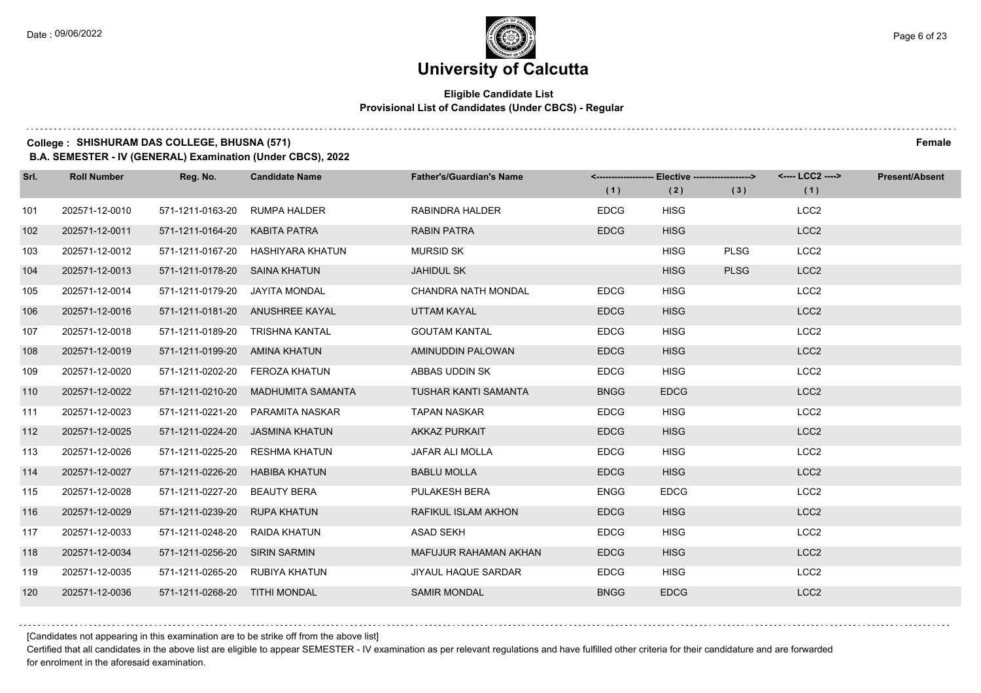$1.111$ 

# **University of Calcutta**

#### **Eligible Candidate List Provisional List of Candidates (Under CBCS) - Regular**

### **College : SHISHURAM DAS COLLEGE, BHUSNA (571) Female**

**B.A. SEMESTER - IV (GENERAL) Examination (Under CBCS), 2022**

| Srl. | <b>Roll Number</b> | Reg. No.                       | <b>Candidate Name</b>             | <b>Father's/Guardian's Name</b> |             | <-------------------- Elective ------------------> |             | <---- LCC2 ----> | <b>Present/Absent</b> |
|------|--------------------|--------------------------------|-----------------------------------|---------------------------------|-------------|----------------------------------------------------|-------------|------------------|-----------------------|
|      |                    |                                |                                   |                                 | (1)         | (2)                                                | (3)         | (1)              |                       |
| 101  | 202571-12-0010     | 571-1211-0163-20               | <b>RUMPA HALDER</b>               | RABINDRA HALDER                 | <b>EDCG</b> | <b>HISG</b>                                        |             | LCC <sub>2</sub> |                       |
| 102  | 202571-12-0011     | 571-1211-0164-20               | <b>KABITA PATRA</b>               | <b>RABIN PATRA</b>              | <b>EDCG</b> | <b>HISG</b>                                        |             | LCC <sub>2</sub> |                       |
| 103  | 202571-12-0012     |                                | 571-1211-0167-20 HASHIYARA KHATUN | <b>MURSID SK</b>                |             | <b>HISG</b>                                        | <b>PLSG</b> | LCC <sub>2</sub> |                       |
| 104  | 202571-12-0013     | 571-1211-0178-20 SAINA KHATUN  |                                   | <b>JAHIDUL SK</b>               |             | <b>HISG</b>                                        | <b>PLSG</b> | LCC <sub>2</sub> |                       |
| 105  | 202571-12-0014     | 571-1211-0179-20               | JAYITA MONDAL                     | <b>CHANDRA NATH MONDAL</b>      | <b>EDCG</b> | <b>HISG</b>                                        |             | LCC <sub>2</sub> |                       |
| 106  | 202571-12-0016     |                                | 571-1211-0181-20 ANUSHREE KAYAL   | UTTAM KAYAL                     | <b>EDCG</b> | <b>HISG</b>                                        |             | LCC <sub>2</sub> |                       |
| 107  | 202571-12-0018     |                                | 571-1211-0189-20 TRISHNA KANTAL   | <b>GOUTAM KANTAL</b>            | <b>EDCG</b> | <b>HISG</b>                                        |             | LCC <sub>2</sub> |                       |
| 108  | 202571-12-0019     | 571-1211-0199-20 AMINA KHATUN  |                                   | AMINUDDIN PALOWAN               | <b>EDCG</b> | <b>HISG</b>                                        |             | LCC <sub>2</sub> |                       |
| 109  | 202571-12-0020     | 571-1211-0202-20               | FEROZA KHATUN                     | ABBAS UDDIN SK                  | <b>EDCG</b> | <b>HISG</b>                                        |             | LCC <sub>2</sub> |                       |
| 110  | 202571-12-0022     | 571-1211-0210-20               | MADHUMITA SAMANTA                 | <b>TUSHAR KANTI SAMANTA</b>     | <b>BNGG</b> | <b>EDCG</b>                                        |             | LCC <sub>2</sub> |                       |
| 111  | 202571-12-0023     | 571-1211-0221-20               | PARAMITA NASKAR                   | <b>TAPAN NASKAR</b>             | <b>EDCG</b> | <b>HISG</b>                                        |             | LCC <sub>2</sub> |                       |
| 112  | 202571-12-0025     | 571-1211-0224-20               | JASMINA KHATUN                    | <b>AKKAZ PURKAIT</b>            | <b>EDCG</b> | <b>HISG</b>                                        |             | LCC <sub>2</sub> |                       |
| 113  | 202571-12-0026     | 571-1211-0225-20               | <b>RESHMA KHATUN</b>              | JAFAR ALI MOLLA                 | <b>EDCG</b> | <b>HISG</b>                                        |             | LCC <sub>2</sub> |                       |
| 114  | 202571-12-0027     | 571-1211-0226-20               | <b>HABIBA KHATUN</b>              | <b>BABLU MOLLA</b>              | <b>EDCG</b> | <b>HISG</b>                                        |             | LCC <sub>2</sub> |                       |
| 115  | 202571-12-0028     | 571-1211-0227-20               | BEAUTY BERA                       | <b>PULAKESH BERA</b>            | <b>ENGG</b> | <b>EDCG</b>                                        |             | LCC <sub>2</sub> |                       |
| 116  | 202571-12-0029     | 571-1211-0239-20               | <b>RUPA KHATUN</b>                | RAFIKUL ISLAM AKHON             | <b>EDCG</b> | <b>HISG</b>                                        |             | LCC <sub>2</sub> |                       |
| 117  | 202571-12-0033     | 571-1211-0248-20               | <b>RAIDA KHATUN</b>               | <b>ASAD SEKH</b>                | <b>EDCG</b> | <b>HISG</b>                                        |             | LCC <sub>2</sub> |                       |
| 118  | 202571-12-0034     | 571-1211-0256-20               | <b>SIRIN SARMIN</b>               | MAFUJUR RAHAMAN AKHAN           | <b>EDCG</b> | <b>HISG</b>                                        |             | LCC <sub>2</sub> |                       |
| 119  | 202571-12-0035     | 571-1211-0265-20 RUBIYA KHATUN |                                   | <b>JIYAUL HAQUE SARDAR</b>      | <b>EDCG</b> | <b>HISG</b>                                        |             | LCC <sub>2</sub> |                       |
| 120  | 202571-12-0036     | 571-1211-0268-20               | <b>TITHI MONDAL</b>               | <b>SAMIR MONDAL</b>             | <b>BNGG</b> | <b>EDCG</b>                                        |             | LCC <sub>2</sub> |                       |

[Candidates not appearing in this examination are to be strike off from the above list]

Certified that all candidates in the above list are eligible to appear SEMESTER - IV examination as per relevant regulations and have fulfilled other criteria for their candidature and are forwarded for enrolment in the aforesaid examination.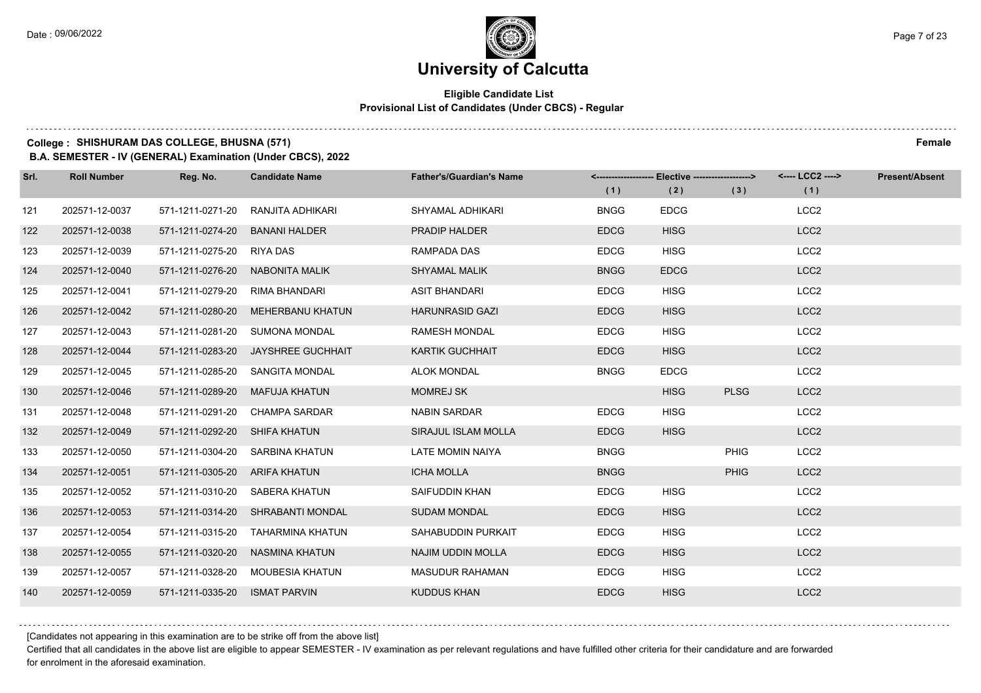#### **Eligible Candidate List Provisional List of Candidates (Under CBCS) - Regular**

### **College : SHISHURAM DAS COLLEGE, BHUSNA (571) Female**

**B.A. SEMESTER - IV (GENERAL) Examination (Under CBCS), 2022**

| Srl. | <b>Roll Number</b> | Reg. No.                      | <b>Candidate Name</b>             | <b>Father's/Guardian's Name</b> |             | <------------------- Elective ------------------> |             | <---- LCC2 ----> | <b>Present/Absent</b> |
|------|--------------------|-------------------------------|-----------------------------------|---------------------------------|-------------|---------------------------------------------------|-------------|------------------|-----------------------|
|      |                    |                               |                                   |                                 | (1)         | (2)                                               | (3)         | (1)              |                       |
| 121  | 202571-12-0037     | 571-1211-0271-20              | RANJITA ADHIKARI                  | SHYAMAL ADHIKARI                | <b>BNGG</b> | <b>EDCG</b>                                       |             | LCC <sub>2</sub> |                       |
| 122  | 202571-12-0038     | 571-1211-0274-20              | <b>BANANI HALDER</b>              | <b>PRADIP HALDER</b>            | <b>EDCG</b> | <b>HISG</b>                                       |             | LCC <sub>2</sub> |                       |
| 123  | 202571-12-0039     | 571-1211-0275-20              | RIYA DAS                          | RAMPADA DAS                     | <b>EDCG</b> | <b>HISG</b>                                       |             | LCC <sub>2</sub> |                       |
| 124  | 202571-12-0040     | 571-1211-0276-20              | NABONITA MALIK                    | <b>SHYAMAL MALIK</b>            | <b>BNGG</b> | <b>EDCG</b>                                       |             | LCC <sub>2</sub> |                       |
| 125  | 202571-12-0041     | 571-1211-0279-20              | RIMA BHANDARI                     | <b>ASIT BHANDARI</b>            | <b>EDCG</b> | <b>HISG</b>                                       |             | LCC <sub>2</sub> |                       |
| 126  | 202571-12-0042     | 571-1211-0280-20              | <b>MEHERBANU KHATUN</b>           | <b>HARUNRASID GAZI</b>          | <b>EDCG</b> | <b>HISG</b>                                       |             | LCC <sub>2</sub> |                       |
| 127  | 202571-12-0043     |                               | 571-1211-0281-20 SUMONA MONDAL    | <b>RAMESH MONDAL</b>            | <b>EDCG</b> | <b>HISG</b>                                       |             | LCC <sub>2</sub> |                       |
| 128  | 202571-12-0044     | 571-1211-0283-20              | JAYSHREE GUCHHAIT                 | <b>KARTIK GUCHHAIT</b>          | <b>EDCG</b> | <b>HISG</b>                                       |             | LCC <sub>2</sub> |                       |
| 129  | 202571-12-0045     | 571-1211-0285-20              | SANGITA MONDAL                    | <b>ALOK MONDAL</b>              | <b>BNGG</b> | <b>EDCG</b>                                       |             | LCC <sub>2</sub> |                       |
| 130  | 202571-12-0046     | 571-1211-0289-20              | <b>MAFUJA KHATUN</b>              | <b>MOMREJ SK</b>                |             | <b>HISG</b>                                       | <b>PLSG</b> | LCC <sub>2</sub> |                       |
| 131  | 202571-12-0048     |                               | 571-1211-0291-20 CHAMPA SARDAR    | <b>NABIN SARDAR</b>             | <b>EDCG</b> | <b>HISG</b>                                       |             | LCC <sub>2</sub> |                       |
| 132  | 202571-12-0049     | 571-1211-0292-20 SHIFA KHATUN |                                   | SIRAJUL ISLAM MOLLA             | <b>EDCG</b> | <b>HISG</b>                                       |             | LCC <sub>2</sub> |                       |
| 133  | 202571-12-0050     | 571-1211-0304-20              | SARBINA KHATUN                    | LATE MOMIN NAIYA                | <b>BNGG</b> |                                                   | <b>PHIG</b> | LCC <sub>2</sub> |                       |
| 134  | 202571-12-0051     | 571-1211-0305-20 ARIFA KHATUN |                                   | <b>ICHA MOLLA</b>               | <b>BNGG</b> |                                                   | <b>PHIG</b> | LCC <sub>2</sub> |                       |
| 135  | 202571-12-0052     |                               | 571-1211-0310-20 SABERA KHATUN    | SAIFUDDIN KHAN                  | <b>EDCG</b> | <b>HISG</b>                                       |             | LCC <sub>2</sub> |                       |
| 136  | 202571-12-0053     |                               | 571-1211-0314-20 SHRABANTI MONDAL | <b>SUDAM MONDAL</b>             | <b>EDCG</b> | <b>HISG</b>                                       |             | LCC <sub>2</sub> |                       |
| 137  | 202571-12-0054     | 571-1211-0315-20              | <b>TAHARMINA KHATUN</b>           | SAHABUDDIN PURKAIT              | <b>EDCG</b> | <b>HISG</b>                                       |             | LCC <sub>2</sub> |                       |
| 138  | 202571-12-0055     | 571-1211-0320-20              | NASMINA KHATUN                    | <b>NAJIM UDDIN MOLLA</b>        | <b>EDCG</b> | <b>HISG</b>                                       |             | LCC <sub>2</sub> |                       |
| 139  | 202571-12-0057     | 571-1211-0328-20              | MOUBESIA KHATUN                   | <b>MASUDUR RAHAMAN</b>          | <b>EDCG</b> | <b>HISG</b>                                       |             | LCC <sub>2</sub> |                       |
| 140  | 202571-12-0059     | 571-1211-0335-20              | <b>ISMAT PARVIN</b>               | <b>KUDDUS KHAN</b>              | <b>EDCG</b> | <b>HISG</b>                                       |             | LCC <sub>2</sub> |                       |

[Candidates not appearing in this examination are to be strike off from the above list]

Certified that all candidates in the above list are eligible to appear SEMESTER - IV examination as per relevant regulations and have fulfilled other criteria for their candidature and are forwarded for enrolment in the aforesaid examination.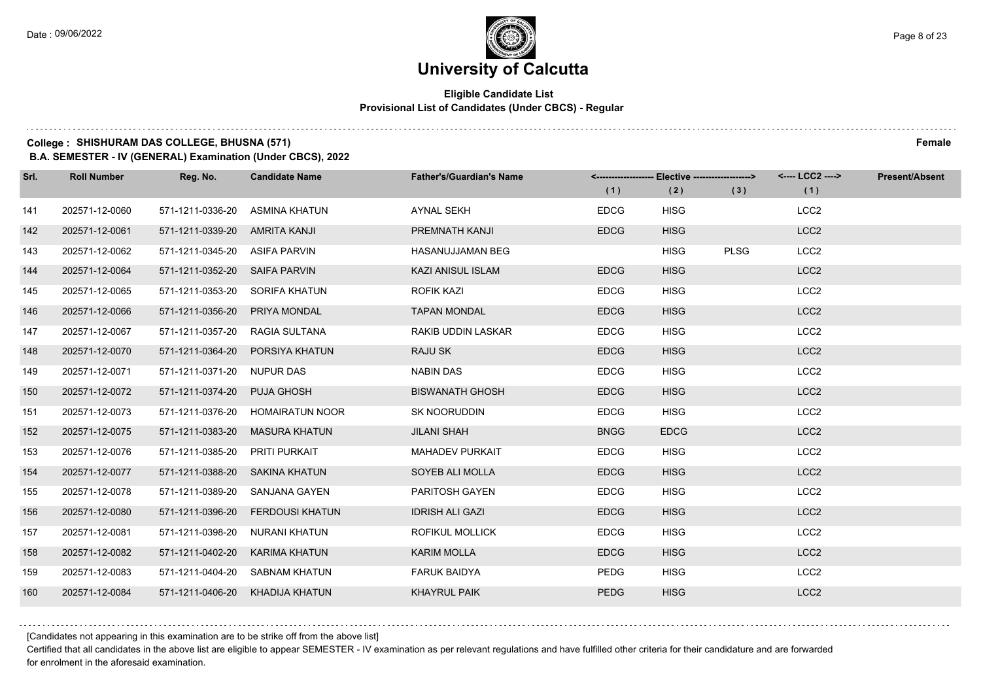#### **Eligible Candidate List Provisional List of Candidates (Under CBCS) - Regular**

### **College : SHISHURAM DAS COLLEGE, BHUSNA (571) Female**

**B.A. SEMESTER - IV (GENERAL) Examination (Under CBCS), 2022**

| Srl. | <b>Roll Number</b> | Reg. No.                       | <b>Candidate Name</b>            | <b>Father's/Guardian's Name</b> | <-------------------- Elective ------------------> |             |             | <---- LCC2 ----> | <b>Present/Absent</b> |
|------|--------------------|--------------------------------|----------------------------------|---------------------------------|----------------------------------------------------|-------------|-------------|------------------|-----------------------|
|      |                    |                                |                                  |                                 | (1)                                                | (2)         | (3)         | (1)              |                       |
| 141  | 202571-12-0060     | 571-1211-0336-20               | ASMINA KHATUN                    | <b>AYNAL SEKH</b>               | <b>EDCG</b>                                        | <b>HISG</b> |             | LCC <sub>2</sub> |                       |
| 142  | 202571-12-0061     | 571-1211-0339-20               | <b>AMRITA KANJI</b>              | PREMNATH KANJI                  | <b>EDCG</b>                                        | <b>HISG</b> |             | LCC <sub>2</sub> |                       |
| 143  | 202571-12-0062     | 571-1211-0345-20 ASIFA PARVIN  |                                  | <b>HASANUJJAMAN BEG</b>         |                                                    | <b>HISG</b> | <b>PLSG</b> | LCC <sub>2</sub> |                       |
| 144  | 202571-12-0064     | 571-1211-0352-20 SAIFA PARVIN  |                                  | KAZI ANISUL ISLAM               | <b>EDCG</b>                                        | <b>HISG</b> |             | LCC <sub>2</sub> |                       |
| 145  | 202571-12-0065     | 571-1211-0353-20               | SORIFA KHATUN                    | <b>ROFIK KAZI</b>               | <b>EDCG</b>                                        | <b>HISG</b> |             | LCC <sub>2</sub> |                       |
| 146  | 202571-12-0066     | 571-1211-0356-20               | PRIYA MONDAL                     | <b>TAPAN MONDAL</b>             | <b>EDCG</b>                                        | <b>HISG</b> |             | LCC <sub>2</sub> |                       |
| 147  | 202571-12-0067     | 571-1211-0357-20 RAGIA SULTANA |                                  | RAKIB UDDIN LASKAR              | <b>EDCG</b>                                        | <b>HISG</b> |             | LCC <sub>2</sub> |                       |
| 148  | 202571-12-0070     |                                | 571-1211-0364-20 PORSIYA KHATUN  | RAJU SK                         | <b>EDCG</b>                                        | <b>HISG</b> |             | LCC <sub>2</sub> |                       |
| 149  | 202571-12-0071     | 571-1211-0371-20               | <b>NUPUR DAS</b>                 | <b>NABIN DAS</b>                | <b>EDCG</b>                                        | <b>HISG</b> |             | LCC <sub>2</sub> |                       |
| 150  | 202571-12-0072     | 571-1211-0374-20               | <b>PUJA GHOSH</b>                | <b>BISWANATH GHOSH</b>          | <b>EDCG</b>                                        | <b>HISG</b> |             | LCC <sub>2</sub> |                       |
| 151  | 202571-12-0073     |                                | 571-1211-0376-20 HOMAIRATUN NOOR | SK NOORUDDIN                    | <b>EDCG</b>                                        | <b>HISG</b> |             | LCC <sub>2</sub> |                       |
| 152  | 202571-12-0075     | 571-1211-0383-20               | <b>MASURA KHATUN</b>             | <b>JILANI SHAH</b>              | <b>BNGG</b>                                        | <b>EDCG</b> |             | LCC <sub>2</sub> |                       |
| 153  | 202571-12-0076     | 571-1211-0385-20               | PRITI PURKAIT                    | <b>MAHADEV PURKAIT</b>          | <b>EDCG</b>                                        | <b>HISG</b> |             | LCC <sub>2</sub> |                       |
| 154  | 202571-12-0077     | 571-1211-0388-20 SAKINA KHATUN |                                  | SOYEB ALI MOLLA                 | <b>EDCG</b>                                        | <b>HISG</b> |             | LCC <sub>2</sub> |                       |
| 155  | 202571-12-0078     | 571-1211-0389-20               | SANJANA GAYEN                    | PARITOSH GAYEN                  | <b>EDCG</b>                                        | <b>HISG</b> |             | LCC <sub>2</sub> |                       |
| 156  | 202571-12-0080     | 571-1211-0396-20               | <b>FERDOUSI KHATUN</b>           | <b>IDRISH ALI GAZI</b>          | <b>EDCG</b>                                        | <b>HISG</b> |             | LCC <sub>2</sub> |                       |
| 157  | 202571-12-0081     | 571-1211-0398-20               | <b>NURANI KHATUN</b>             | <b>ROFIKUL MOLLICK</b>          | <b>EDCG</b>                                        | <b>HISG</b> |             | LCC <sub>2</sub> |                       |
| 158  | 202571-12-0082     | 571-1211-0402-20               | KARIMA KHATUN                    | <b>KARIM MOLLA</b>              | <b>EDCG</b>                                        | <b>HISG</b> |             | LCC <sub>2</sub> |                       |
| 159  | 202571-12-0083     |                                | 571-1211-0404-20 SABNAM KHATUN   | <b>FARUK BAIDYA</b>             | <b>PEDG</b>                                        | <b>HISG</b> |             | LCC <sub>2</sub> |                       |
| 160  | 202571-12-0084     | 571-1211-0406-20               | KHADIJA KHATUN                   | <b>KHAYRUL PAIK</b>             | <b>PEDG</b>                                        | <b>HISG</b> |             | LCC <sub>2</sub> |                       |

[Candidates not appearing in this examination are to be strike off from the above list]

Certified that all candidates in the above list are eligible to appear SEMESTER - IV examination as per relevant regulations and have fulfilled other criteria for their candidature and are forwarded for enrolment in the aforesaid examination.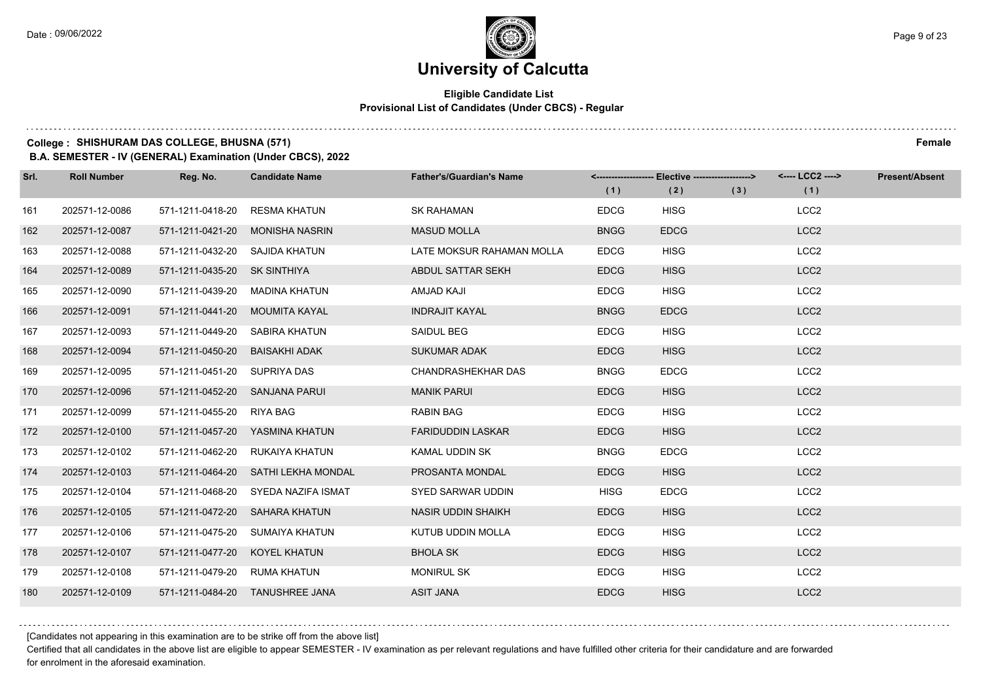#### **Eligible Candidate List Provisional List of Candidates (Under CBCS) - Regular**

### **College : SHISHURAM DAS COLLEGE, BHUSNA (571) Female**

**B.A. SEMESTER - IV (GENERAL) Examination (Under CBCS), 2022**

| Srl. | <b>Roll Number</b> | Reg. No.                       | <b>Candidate Name</b>               | <b>Father's/Guardian's Name</b> | (1)         | <-------------------- Elective ------------------><br>(2) | (3) | <---- LCC2 ----><br>(1) | Present/Absent |
|------|--------------------|--------------------------------|-------------------------------------|---------------------------------|-------------|-----------------------------------------------------------|-----|-------------------------|----------------|
| 161  | 202571-12-0086     | 571-1211-0418-20               | RESMA KHATUN                        | <b>SK RAHAMAN</b>               | <b>EDCG</b> | <b>HISG</b>                                               |     | LCC <sub>2</sub>        |                |
| 162  | 202571-12-0087     |                                | 571-1211-0421-20 MONISHA NASRIN     | <b>MASUD MOLLA</b>              | <b>BNGG</b> | <b>EDCG</b>                                               |     | LCC <sub>2</sub>        |                |
| 163  | 202571-12-0088     | 571-1211-0432-20 SAJIDA KHATUN |                                     | LATE MOKSUR RAHAMAN MOLLA       | <b>EDCG</b> | <b>HISG</b>                                               |     | LCC <sub>2</sub>        |                |
| 164  | 202571-12-0089     | 571-1211-0435-20 SK SINTHIYA   |                                     | ABDUL SATTAR SEKH               | <b>EDCG</b> | <b>HISG</b>                                               |     | LCC <sub>2</sub>        |                |
| 165  | 202571-12-0090     | 571-1211-0439-20               | MADINA KHATUN                       | AMJAD KAJI                      | <b>EDCG</b> | <b>HISG</b>                                               |     | LCC <sub>2</sub>        |                |
| 166  | 202571-12-0091     | 571-1211-0441-20 MOUMITA KAYAL |                                     | <b>INDRAJIT KAYAL</b>           | <b>BNGG</b> | <b>EDCG</b>                                               |     | LCC <sub>2</sub>        |                |
| 167  | 202571-12-0093     | 571-1211-0449-20 SABIRA KHATUN |                                     | SAIDUL BEG                      | <b>EDCG</b> | <b>HISG</b>                                               |     | LCC <sub>2</sub>        |                |
| 168  | 202571-12-0094     | 571-1211-0450-20 BAISAKHI ADAK |                                     | <b>SUKUMAR ADAK</b>             | <b>EDCG</b> | <b>HISG</b>                                               |     | LCC <sub>2</sub>        |                |
| 169  | 202571-12-0095     | 571-1211-0451-20 SUPRIYA DAS   |                                     | CHANDRASHEKHAR DAS              | <b>BNGG</b> | <b>EDCG</b>                                               |     | LCC <sub>2</sub>        |                |
| 170  | 202571-12-0096     | 571-1211-0452-20 SANJANA PARUI |                                     | <b>MANIK PARUI</b>              | <b>EDCG</b> | <b>HISG</b>                                               |     | LCC <sub>2</sub>        |                |
| 171  | 202571-12-0099     | 571-1211-0455-20 RIYA BAG      |                                     | <b>RABIN BAG</b>                | <b>EDCG</b> | <b>HISG</b>                                               |     | LCC <sub>2</sub>        |                |
| 172  | 202571-12-0100     |                                | 571-1211-0457-20 YASMINA KHATUN     | <b>FARIDUDDIN LASKAR</b>        | <b>EDCG</b> | <b>HISG</b>                                               |     | LCC <sub>2</sub>        |                |
| 173  | 202571-12-0102     | 571-1211-0462-20               | RUKAIYA KHATUN                      | KAMAL UDDIN SK                  | <b>BNGG</b> | <b>EDCG</b>                                               |     | LCC <sub>2</sub>        |                |
| 174  | 202571-12-0103     |                                | 571-1211-0464-20 SATHI LEKHA MONDAL | PROSANTA MONDAL                 | <b>EDCG</b> | <b>HISG</b>                                               |     | LCC <sub>2</sub>        |                |
| 175  | 202571-12-0104     |                                | 571-1211-0468-20 SYEDA NAZIFA ISMAT | SYED SARWAR UDDIN               | <b>HISG</b> | <b>EDCG</b>                                               |     | LCC <sub>2</sub>        |                |
| 176  | 202571-12-0105     |                                | 571-1211-0472-20 SAHARA KHATUN      | <b>NASIR UDDIN SHAIKH</b>       | <b>EDCG</b> | <b>HISG</b>                                               |     | LCC <sub>2</sub>        |                |
| 177  | 202571-12-0106     | 571-1211-0475-20               | <b>SUMAIYA KHATUN</b>               | KUTUB UDDIN MOLLA               | <b>EDCG</b> | <b>HISG</b>                                               |     | LCC <sub>2</sub>        |                |
| 178  | 202571-12-0107     | 571-1211-0477-20 KOYEL KHATUN  |                                     | <b>BHOLA SK</b>                 | <b>EDCG</b> | <b>HISG</b>                                               |     | LCC <sub>2</sub>        |                |
| 179  | 202571-12-0108     | 571-1211-0479-20 RUMA KHATUN   |                                     | <b>MONIRUL SK</b>               | <b>EDCG</b> | <b>HISG</b>                                               |     | LCC <sub>2</sub>        |                |
| 180  | 202571-12-0109     |                                | 571-1211-0484-20 TANUSHREE JANA     | <b>ASIT JANA</b>                | <b>EDCG</b> | <b>HISG</b>                                               |     | LCC <sub>2</sub>        |                |

[Candidates not appearing in this examination are to be strike off from the above list]

Certified that all candidates in the above list are eligible to appear SEMESTER - IV examination as per relevant regulations and have fulfilled other criteria for their candidature and are forwarded for enrolment in the aforesaid examination.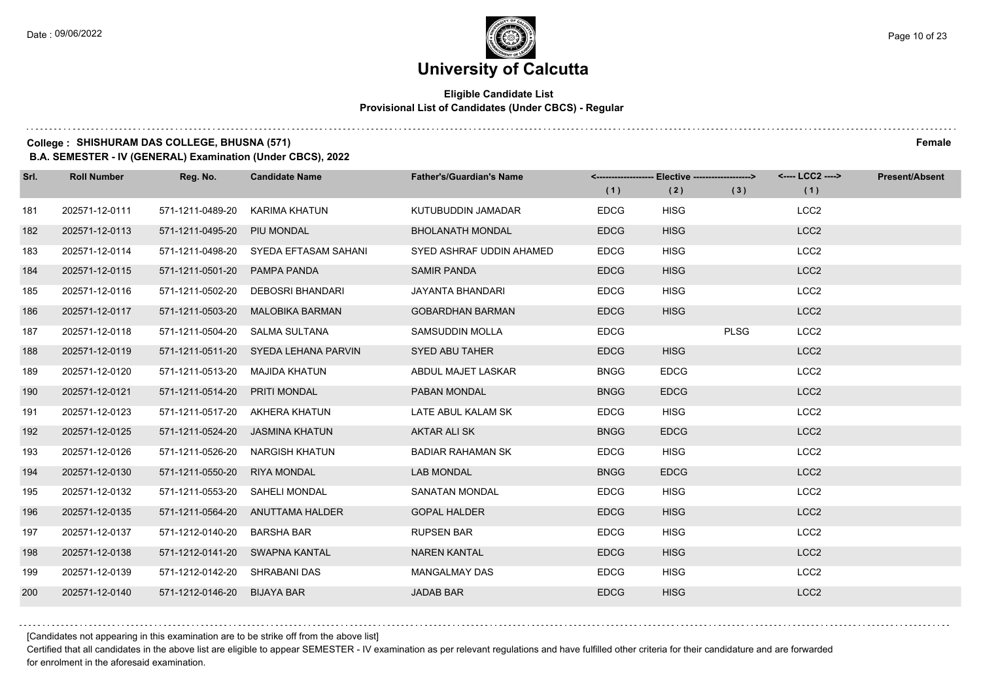#### **Eligible Candidate List Provisional List of Candidates (Under CBCS) - Regular**

**College : SHISHURAM DAS COLLEGE, BHUSNA (571) Female**

**B.A. SEMESTER - IV (GENERAL) Examination (Under CBCS), 2022**

| Srl. | <b>Roll Number</b> | Reg. No.                       | <b>Candidate Name</b>                 | <b>Father's/Guardian's Name</b> | (1)         | <-------------------- Elective ------------------><br>(2) | (3)         | <---- LCC2 ----><br>(1) | <b>Present/Absent</b> |
|------|--------------------|--------------------------------|---------------------------------------|---------------------------------|-------------|-----------------------------------------------------------|-------------|-------------------------|-----------------------|
| 181  | 202571-12-0111     | 571-1211-0489-20               | KARIMA KHATUN                         | KUTUBUDDIN JAMADAR              | <b>EDCG</b> | <b>HISG</b>                                               |             | LCC <sub>2</sub>        |                       |
| 182  | 202571-12-0113     | 571-1211-0495-20 PIU MONDAL    |                                       | <b>BHOLANATH MONDAL</b>         | <b>EDCG</b> | <b>HISG</b>                                               |             | LCC <sub>2</sub>        |                       |
| 183  | 202571-12-0114     |                                | 571-1211-0498-20 SYEDA EFTASAM SAHANI | SYED ASHRAF UDDIN AHAMED        | <b>EDCG</b> | <b>HISG</b>                                               |             | LCC <sub>2</sub>        |                       |
| 184  | 202571-12-0115     | 571-1211-0501-20 PAMPA PANDA   |                                       | <b>SAMIR PANDA</b>              | <b>EDCG</b> | <b>HISG</b>                                               |             | LCC <sub>2</sub>        |                       |
| 185  | 202571-12-0116     | 571-1211-0502-20               | DEBOSRI BHANDARI                      | <b>JAYANTA BHANDARI</b>         | <b>EDCG</b> | <b>HISG</b>                                               |             | LCC <sub>2</sub>        |                       |
| 186  | 202571-12-0117     |                                | 571-1211-0503-20 MALOBIKA BARMAN      | <b>GOBARDHAN BARMAN</b>         | <b>EDCG</b> | <b>HISG</b>                                               |             | LCC <sub>2</sub>        |                       |
| 187  | 202571-12-0118     | 571-1211-0504-20 SALMA SULTANA |                                       | <b>SAMSUDDIN MOLLA</b>          | <b>EDCG</b> |                                                           | <b>PLSG</b> | LCC <sub>2</sub>        |                       |
| 188  | 202571-12-0119     |                                | 571-1211-0511-20 SYEDA LEHANA PARVIN  | <b>SYED ABU TAHER</b>           | <b>EDCG</b> | <b>HISG</b>                                               |             | LCC <sub>2</sub>        |                       |
| 189  | 202571-12-0120     | 571-1211-0513-20               | MAJIDA KHATUN                         | ABDUL MAJET LASKAR              | <b>BNGG</b> | <b>EDCG</b>                                               |             | LCC <sub>2</sub>        |                       |
| 190  | 202571-12-0121     | 571-1211-0514-20 PRITI MONDAL  |                                       | PABAN MONDAL                    | <b>BNGG</b> | <b>EDCG</b>                                               |             | LCC <sub>2</sub>        |                       |
| 191  | 202571-12-0123     |                                | 571-1211-0517-20 AKHERA KHATUN        | LATE ABUL KALAM SK              | <b>EDCG</b> | <b>HISG</b>                                               |             | LCC <sub>2</sub>        |                       |
| 192  | 202571-12-0125     |                                | 571-1211-0524-20 JASMINA KHATUN       | AKTAR ALI SK                    | <b>BNGG</b> | <b>EDCG</b>                                               |             | LCC <sub>2</sub>        |                       |
| 193  | 202571-12-0126     | 571-1211-0526-20               | NARGISH KHATUN                        | <b>BADIAR RAHAMAN SK</b>        | <b>EDCG</b> | <b>HISG</b>                                               |             | LCC <sub>2</sub>        |                       |
| 194  | 202571-12-0130     | 571-1211-0550-20 RIYA MONDAL   |                                       | <b>LAB MONDAL</b>               | <b>BNGG</b> | <b>EDCG</b>                                               |             | LCC <sub>2</sub>        |                       |
| 195  | 202571-12-0132     | 571-1211-0553-20 SAHELI MONDAL |                                       | <b>SANATAN MONDAL</b>           | <b>EDCG</b> | <b>HISG</b>                                               |             | LCC <sub>2</sub>        |                       |
| 196  | 202571-12-0135     |                                | 571-1211-0564-20 ANUTTAMA HALDER      | <b>GOPAL HALDER</b>             | <b>EDCG</b> | <b>HISG</b>                                               |             | LCC <sub>2</sub>        |                       |
| 197  | 202571-12-0137     | 571-1212-0140-20               | <b>BARSHA BAR</b>                     | <b>RUPSEN BAR</b>               | <b>EDCG</b> | <b>HISG</b>                                               |             | LCC <sub>2</sub>        |                       |
| 198  | 202571-12-0138     |                                | 571-1212-0141-20 SWAPNA KANTAL        | <b>NAREN KANTAL</b>             | <b>EDCG</b> | <b>HISG</b>                                               |             | LCC <sub>2</sub>        |                       |
| 199  | 202571-12-0139     | 571-1212-0142-20 SHRABANI DAS  |                                       | <b>MANGALMAY DAS</b>            | <b>EDCG</b> | <b>HISG</b>                                               |             | LCC <sub>2</sub>        |                       |
| 200  | 202571-12-0140     | 571-1212-0146-20 BIJAYA BAR    |                                       | <b>JADAB BAR</b>                | <b>EDCG</b> | <b>HISG</b>                                               |             | LCC <sub>2</sub>        |                       |

[Candidates not appearing in this examination are to be strike off from the above list]

Certified that all candidates in the above list are eligible to appear SEMESTER - IV examination as per relevant regulations and have fulfilled other criteria for their candidature and are forwarded for enrolment in the aforesaid examination.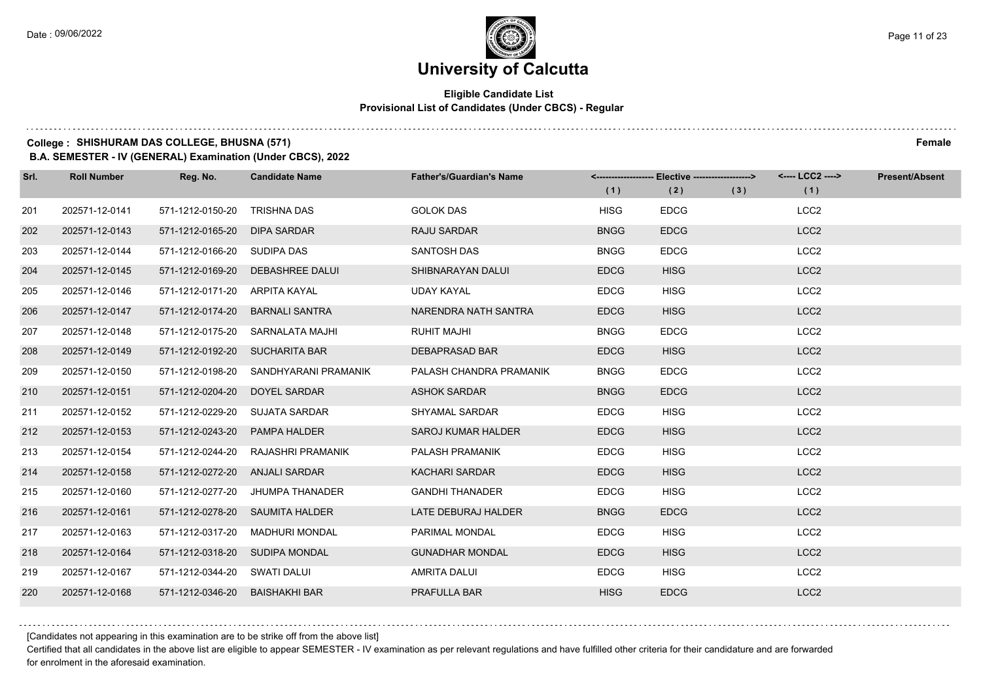$1.111$ 

# **University of Calcutta**

#### **Eligible Candidate List Provisional List of Candidates (Under CBCS) - Regular**

### **College : SHISHURAM DAS COLLEGE, BHUSNA (571) Female**

**B.A. SEMESTER - IV (GENERAL) Examination (Under CBCS), 2022**

| Srl. | <b>Roll Number</b> | Reg. No.                       | <b>Candidate Name</b>            | <b>Father's/Guardian's Name</b> |             | <------------------- Elective ------------------> |     | <---- LCC2 ----> | <b>Present/Absent</b> |
|------|--------------------|--------------------------------|----------------------------------|---------------------------------|-------------|---------------------------------------------------|-----|------------------|-----------------------|
|      |                    |                                |                                  |                                 | (1)         | (2)                                               | (3) | (1)              |                       |
| 201  | 202571-12-0141     | 571-1212-0150-20               | <b>TRISHNA DAS</b>               | <b>GOLOK DAS</b>                | <b>HISG</b> | <b>EDCG</b>                                       |     | LCC <sub>2</sub> |                       |
| 202  | 202571-12-0143     | 571-1212-0165-20               | <b>DIPA SARDAR</b>               | RAJU SARDAR                     | <b>BNGG</b> | <b>EDCG</b>                                       |     | LCC <sub>2</sub> |                       |
| 203  | 202571-12-0144     | 571-1212-0166-20 SUDIPA DAS    |                                  | <b>SANTOSH DAS</b>              | <b>BNGG</b> | <b>EDCG</b>                                       |     | LCC <sub>2</sub> |                       |
| 204  | 202571-12-0145     | 571-1212-0169-20               | <b>DEBASHREE DALUI</b>           | SHIBNARAYAN DALUI               | <b>EDCG</b> | <b>HISG</b>                                       |     | LCC <sub>2</sub> |                       |
| 205  | 202571-12-0146     | 571-1212-0171-20               | ARPITA KAYAL                     | UDAY KAYAL                      | <b>EDCG</b> | <b>HISG</b>                                       |     | LCC <sub>2</sub> |                       |
| 206  | 202571-12-0147     | 571-1212-0174-20               | <b>BARNALI SANTRA</b>            | NARENDRA NATH SANTRA            | <b>EDCG</b> | <b>HISG</b>                                       |     | LCC <sub>2</sub> |                       |
| 207  | 202571-12-0148     |                                | 571-1212-0175-20 SARNALATA MAJHI | <b>RUHIT MAJHI</b>              | <b>BNGG</b> | <b>EDCG</b>                                       |     | LCC <sub>2</sub> |                       |
| 208  | 202571-12-0149     | 571-1212-0192-20 SUCHARITA BAR |                                  | <b>DEBAPRASAD BAR</b>           | <b>EDCG</b> | <b>HISG</b>                                       |     | LCC <sub>2</sub> |                       |
| 209  | 202571-12-0150     | 571-1212-0198-20               | SANDHYARANI PRAMANIK             | PALASH CHANDRA PRAMANIK         | <b>BNGG</b> | <b>EDCG</b>                                       |     | LCC <sub>2</sub> |                       |
| 210  | 202571-12-0151     | 571-1212-0204-20               | DOYEL SARDAR                     | <b>ASHOK SARDAR</b>             | <b>BNGG</b> | <b>EDCG</b>                                       |     | LCC <sub>2</sub> |                       |
| 211  | 202571-12-0152     | 571-1212-0229-20               | <b>SUJATA SARDAR</b>             | <b>SHYAMAL SARDAR</b>           | <b>EDCG</b> | <b>HISG</b>                                       |     | LCC <sub>2</sub> |                       |
| 212  | 202571-12-0153     | 571-1212-0243-20               | PAMPA HALDER                     | <b>SAROJ KUMAR HALDER</b>       | <b>EDCG</b> | <b>HISG</b>                                       |     | LCC <sub>2</sub> |                       |
| 213  | 202571-12-0154     | 571-1212-0244-20               | RAJASHRI PRAMANIK                | PALASH PRAMANIK                 | <b>EDCG</b> | <b>HISG</b>                                       |     | LCC <sub>2</sub> |                       |
| 214  | 202571-12-0158     | 571-1212-0272-20               | <b>ANJALI SARDAR</b>             | <b>KACHARI SARDAR</b>           | <b>EDCG</b> | <b>HISG</b>                                       |     | LCC <sub>2</sub> |                       |
| 215  | 202571-12-0160     | 571-1212-0277-20               | JHUMPA THANADER                  | <b>GANDHI THANADER</b>          | <b>EDCG</b> | <b>HISG</b>                                       |     | LCC <sub>2</sub> |                       |
| 216  | 202571-12-0161     | 571-1212-0278-20               | <b>SAUMITA HALDER</b>            | LATE DEBURAJ HALDER             | <b>BNGG</b> | <b>EDCG</b>                                       |     | LCC <sub>2</sub> |                       |
| 217  | 202571-12-0163     | 571-1212-0317-20               | <b>MADHURI MONDAL</b>            | PARIMAL MONDAL                  | <b>EDCG</b> | <b>HISG</b>                                       |     | LCC <sub>2</sub> |                       |
| 218  | 202571-12-0164     | 571-1212-0318-20               | <b>SUDIPA MONDAL</b>             | <b>GUNADHAR MONDAL</b>          | <b>EDCG</b> | <b>HISG</b>                                       |     | LCC <sub>2</sub> |                       |
| 219  | 202571-12-0167     | 571-1212-0344-20 SWATI DALUI   |                                  | <b>AMRITA DALUI</b>             | <b>EDCG</b> | <b>HISG</b>                                       |     | LCC <sub>2</sub> |                       |
| 220  | 202571-12-0168     | 571-1212-0346-20               | <b>BAISHAKHI BAR</b>             | PRAFULLA BAR                    | <b>HISG</b> | <b>EDCG</b>                                       |     | LCC <sub>2</sub> |                       |

[Candidates not appearing in this examination are to be strike off from the above list]

Certified that all candidates in the above list are eligible to appear SEMESTER - IV examination as per relevant regulations and have fulfilled other criteria for their candidature and are forwarded for enrolment in the aforesaid examination.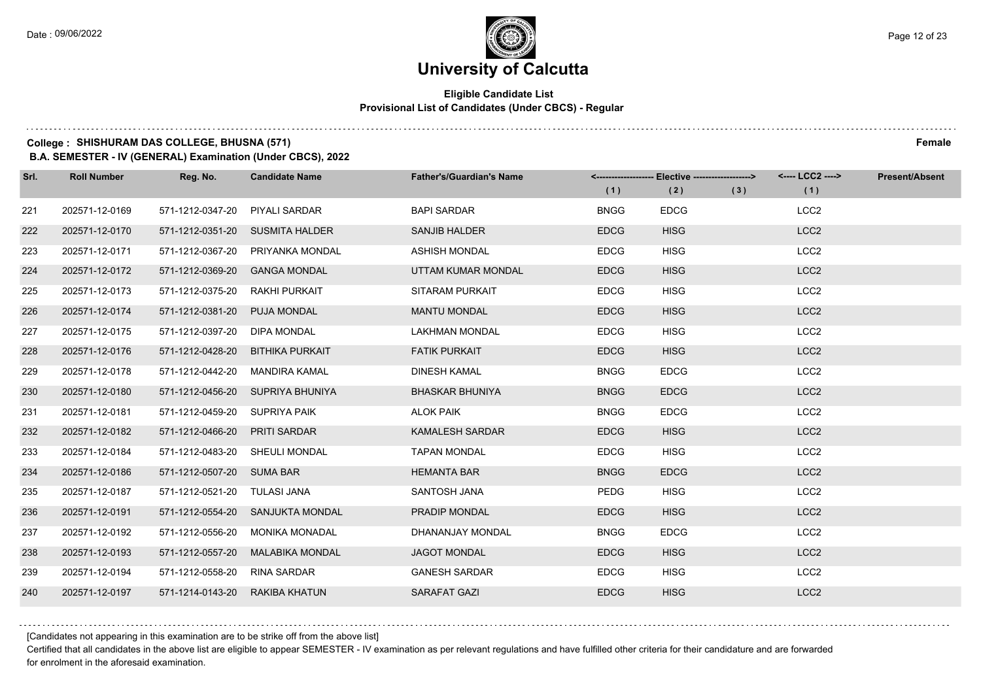#### **Eligible Candidate List Provisional List of Candidates (Under CBCS) - Regular**

### **College : SHISHURAM DAS COLLEGE, BHUSNA (571) Female**

**B.A. SEMESTER - IV (GENERAL) Examination (Under CBCS), 2022**

| Srl. | <b>Roll Number</b> | Reg. No.                       | <b>Candidate Name</b>            | <b>Father's/Guardian's Name</b> | (1)         | <-------------------- Elective ------------------><br>(2) | (3) | <---- LCC2 ----><br>(1) | <b>Present/Absent</b> |
|------|--------------------|--------------------------------|----------------------------------|---------------------------------|-------------|-----------------------------------------------------------|-----|-------------------------|-----------------------|
| 221  | 202571-12-0169     | 571-1212-0347-20               | <b>PIYALI SARDAR</b>             | <b>BAPI SARDAR</b>              | <b>BNGG</b> | <b>EDCG</b>                                               |     | LCC <sub>2</sub>        |                       |
| 222  | 202571-12-0170     |                                | 571-1212-0351-20 SUSMITA HALDER  | <b>SANJIB HALDER</b>            | <b>EDCG</b> | <b>HISG</b>                                               |     | LCC <sub>2</sub>        |                       |
| 223  | 202571-12-0171     | 571-1212-0367-20               | PRIYANKA MONDAL                  | <b>ASHISH MONDAL</b>            | <b>EDCG</b> | <b>HISG</b>                                               |     | LCC <sub>2</sub>        |                       |
| 224  | 202571-12-0172     | 571-1212-0369-20               | <b>GANGA MONDAL</b>              | UTTAM KUMAR MONDAL              | <b>EDCG</b> | <b>HISG</b>                                               |     | LCC <sub>2</sub>        |                       |
| 225  | 202571-12-0173     | 571-1212-0375-20               | <b>RAKHI PURKAIT</b>             | <b>SITARAM PURKAIT</b>          | <b>EDCG</b> | <b>HISG</b>                                               |     | LCC <sub>2</sub>        |                       |
| 226  | 202571-12-0174     | 571-1212-0381-20               | PUJA MONDAL                      | <b>MANTU MONDAL</b>             | <b>EDCG</b> | <b>HISG</b>                                               |     | LCC <sub>2</sub>        |                       |
| 227  | 202571-12-0175     | 571-1212-0397-20               | <b>DIPA MONDAL</b>               | LAKHMAN MONDAL                  | <b>EDCG</b> | <b>HISG</b>                                               |     | LCC <sub>2</sub>        |                       |
| 228  | 202571-12-0176     |                                | 571-1212-0428-20 BITHIKA PURKAIT | <b>FATIK PURKAIT</b>            | <b>EDCG</b> | <b>HISG</b>                                               |     | LCC <sub>2</sub>        |                       |
| 229  | 202571-12-0178     | 571-1212-0442-20               | MANDIRA KAMAL                    | <b>DINESH KAMAL</b>             | <b>BNGG</b> | <b>EDCG</b>                                               |     | LCC <sub>2</sub>        |                       |
| 230  | 202571-12-0180     |                                | 571-1212-0456-20 SUPRIYA BHUNIYA | <b>BHASKAR BHUNIYA</b>          | <b>BNGG</b> | <b>EDCG</b>                                               |     | LCC <sub>2</sub>        |                       |
| 231  | 202571-12-0181     | 571-1212-0459-20 SUPRIYA PAIK  |                                  | <b>ALOK PAIK</b>                | <b>BNGG</b> | <b>EDCG</b>                                               |     | LCC <sub>2</sub>        |                       |
| 232  | 202571-12-0182     | 571-1212-0466-20               | <b>PRITI SARDAR</b>              | <b>KAMALESH SARDAR</b>          | <b>EDCG</b> | <b>HISG</b>                                               |     | LCC <sub>2</sub>        |                       |
| 233  | 202571-12-0184     | 571-1212-0483-20 SHEULI MONDAL |                                  | <b>TAPAN MONDAL</b>             | <b>EDCG</b> | <b>HISG</b>                                               |     | LCC <sub>2</sub>        |                       |
| 234  | 202571-12-0186     | 571-1212-0507-20 SUMA BAR      |                                  | <b>HEMANTA BAR</b>              | <b>BNGG</b> | <b>EDCG</b>                                               |     | LCC <sub>2</sub>        |                       |
| 235  | 202571-12-0187     | 571-1212-0521-20 TULASI JANA   |                                  | SANTOSH JANA                    | <b>PEDG</b> | <b>HISG</b>                                               |     | LCC <sub>2</sub>        |                       |
| 236  | 202571-12-0191     |                                | 571-1212-0554-20 SANJUKTA MONDAL | PRADIP MONDAL                   | <b>EDCG</b> | <b>HISG</b>                                               |     | LCC <sub>2</sub>        |                       |
| 237  | 202571-12-0192     | 571-1212-0556-20               | <b>MONIKA MONADAL</b>            | DHANANJAY MONDAL                | <b>BNGG</b> | <b>EDCG</b>                                               |     | LCC <sub>2</sub>        |                       |
| 238  | 202571-12-0193     | 571-1212-0557-20               | <b>MALABIKA MONDAL</b>           | <b>JAGOT MONDAL</b>             | <b>EDCG</b> | <b>HISG</b>                                               |     | LCC <sub>2</sub>        |                       |
| 239  | 202571-12-0194     | 571-1212-0558-20               | <b>RINA SARDAR</b>               | <b>GANESH SARDAR</b>            | <b>EDCG</b> | <b>HISG</b>                                               |     | LCC <sub>2</sub>        |                       |
| 240  | 202571-12-0197     | 571-1214-0143-20               | RAKIBA KHATUN                    | SARAFAT GAZI                    | <b>EDCG</b> | <b>HISG</b>                                               |     | LCC <sub>2</sub>        |                       |

[Candidates not appearing in this examination are to be strike off from the above list]

Certified that all candidates in the above list are eligible to appear SEMESTER - IV examination as per relevant regulations and have fulfilled other criteria for their candidature and are forwarded for enrolment in the aforesaid examination.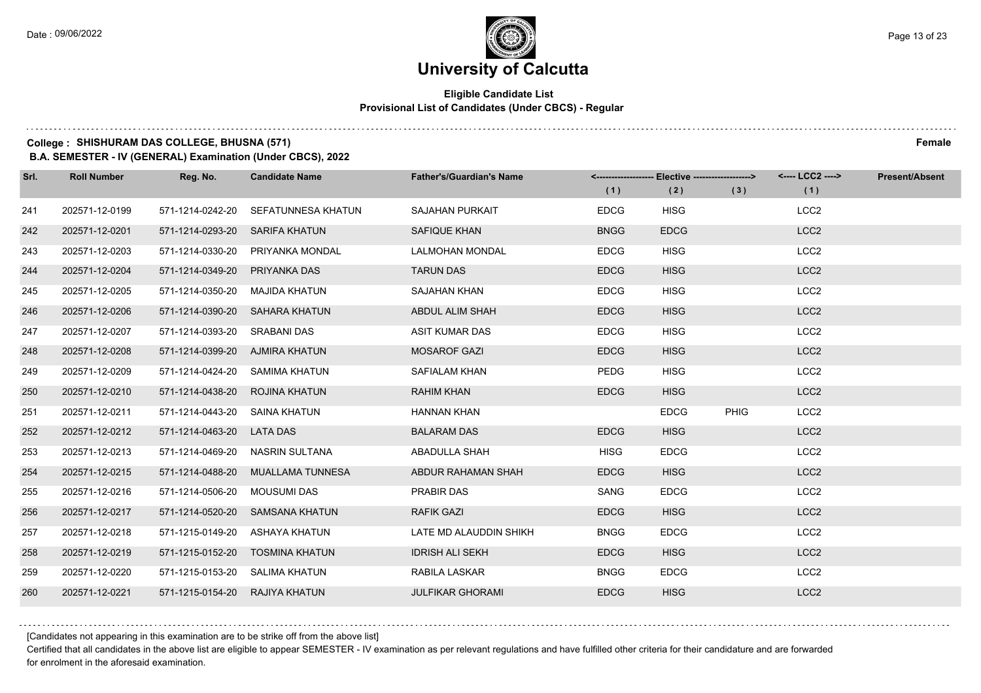#### **Eligible Candidate List Provisional List of Candidates (Under CBCS) - Regular**

**College : SHISHURAM DAS COLLEGE, BHUSNA (571) Female**

**B.A. SEMESTER - IV (GENERAL) Examination (Under CBCS), 2022**

| Srl. | <b>Roll Number</b> | Reg. No.                       | <b>Candidate Name</b>             | <b>Father's/Guardian's Name</b> | (1)         | <-------------------- Elective -------------------><br>(2) | (3)         | <---- LCC2 ----><br>(1) | <b>Present/Absent</b> |
|------|--------------------|--------------------------------|-----------------------------------|---------------------------------|-------------|------------------------------------------------------------|-------------|-------------------------|-----------------------|
| 241  | 202571-12-0199     | 571-1214-0242-20               | <b>SEFATUNNESA KHATUN</b>         | <b>SAJAHAN PURKAIT</b>          | <b>EDCG</b> | <b>HISG</b>                                                |             | LCC <sub>2</sub>        |                       |
|      |                    |                                |                                   |                                 |             |                                                            |             |                         |                       |
| 242  | 202571-12-0201     | 571-1214-0293-20               | <b>SARIFA KHATUN</b>              | SAFIQUE KHAN                    | <b>BNGG</b> | <b>EDCG</b>                                                |             | LCC <sub>2</sub>        |                       |
| 243  | 202571-12-0203     | 571-1214-0330-20               | PRIYANKA MONDAL                   | <b>LALMOHAN MONDAL</b>          | <b>EDCG</b> | <b>HISG</b>                                                |             | LCC <sub>2</sub>        |                       |
| 244  | 202571-12-0204     | 571-1214-0349-20               | PRIYANKA DAS                      | <b>TARUN DAS</b>                | <b>EDCG</b> | <b>HISG</b>                                                |             | LCC <sub>2</sub>        |                       |
| 245  | 202571-12-0205     | 571-1214-0350-20               | MAJIDA KHATUN                     | <b>SAJAHAN KHAN</b>             | <b>EDCG</b> | <b>HISG</b>                                                |             | LCC <sub>2</sub>        |                       |
| 246  | 202571-12-0206     |                                | 571-1214-0390-20 SAHARA KHATUN    | ABDUL ALIM SHAH                 | <b>EDCG</b> | <b>HISG</b>                                                |             | LCC <sub>2</sub>        |                       |
| 247  | 202571-12-0207     | 571-1214-0393-20 SRABANI DAS   |                                   | ASIT KUMAR DAS                  | <b>EDCG</b> | <b>HISG</b>                                                |             | LCC <sub>2</sub>        |                       |
| 248  | 202571-12-0208     | 571-1214-0399-20 AJMIRA KHATUN |                                   | <b>MOSAROF GAZI</b>             | <b>EDCG</b> | <b>HISG</b>                                                |             | LCC <sub>2</sub>        |                       |
| 249  | 202571-12-0209     | 571-1214-0424-20               | SAMIMA KHATUN                     | SAFIALAM KHAN                   | <b>PEDG</b> | <b>HISG</b>                                                |             | LCC <sub>2</sub>        |                       |
| 250  | 202571-12-0210     | 571-1214-0438-20               | ROJINA KHATUN                     | <b>RAHIM KHAN</b>               | <b>EDCG</b> | <b>HISG</b>                                                |             | LCC <sub>2</sub>        |                       |
| 251  | 202571-12-0211     | 571-1214-0443-20 SAINA KHATUN  |                                   | <b>HANNAN KHAN</b>              |             | <b>EDCG</b>                                                | <b>PHIG</b> | LCC <sub>2</sub>        |                       |
| 252  | 202571-12-0212     | 571-1214-0463-20 LATA DAS      |                                   | <b>BALARAM DAS</b>              | <b>EDCG</b> | <b>HISG</b>                                                |             | LCC <sub>2</sub>        |                       |
| 253  | 202571-12-0213     | 571-1214-0469-20               | NASRIN SULTANA                    | ABADULLA SHAH                   | <b>HISG</b> | <b>EDCG</b>                                                |             | LCC <sub>2</sub>        |                       |
| 254  | 202571-12-0215     |                                | 571-1214-0488-20 MUALLAMA TUNNESA | ABDUR RAHAMAN SHAH              | <b>EDCG</b> | <b>HISG</b>                                                |             | LCC <sub>2</sub>        |                       |
| 255  | 202571-12-0216     | 571-1214-0506-20               | MOUSUMI DAS                       | PRABIR DAS                      | <b>SANG</b> | <b>EDCG</b>                                                |             | LCC <sub>2</sub>        |                       |
| 256  | 202571-12-0217     |                                | 571-1214-0520-20 SAMSANA KHATUN   | <b>RAFIK GAZI</b>               | <b>EDCG</b> | <b>HISG</b>                                                |             | LCC <sub>2</sub>        |                       |
| 257  | 202571-12-0218     | 571-1215-0149-20               | ASHAYA KHATUN                     | LATE MD ALAUDDIN SHIKH          | <b>BNGG</b> | <b>EDCG</b>                                                |             | LCC <sub>2</sub>        |                       |
| 258  | 202571-12-0219     | 571-1215-0152-20               | <b>TOSMINA KHATUN</b>             | <b>IDRISH ALI SEKH</b>          | <b>EDCG</b> | <b>HISG</b>                                                |             | LCC <sub>2</sub>        |                       |
| 259  | 202571-12-0220     | 571-1215-0153-20 SALIMA KHATUN |                                   | RABILA LASKAR                   | <b>BNGG</b> | <b>EDCG</b>                                                |             | LCC <sub>2</sub>        |                       |
| 260  | 202571-12-0221     | 571-1215-0154-20 RAJIYA KHATUN |                                   | <b>JULFIKAR GHORAMI</b>         | <b>EDCG</b> | <b>HISG</b>                                                |             | LCC <sub>2</sub>        |                       |

[Candidates not appearing in this examination are to be strike off from the above list]

Certified that all candidates in the above list are eligible to appear SEMESTER - IV examination as per relevant regulations and have fulfilled other criteria for their candidature and are forwarded for enrolment in the aforesaid examination.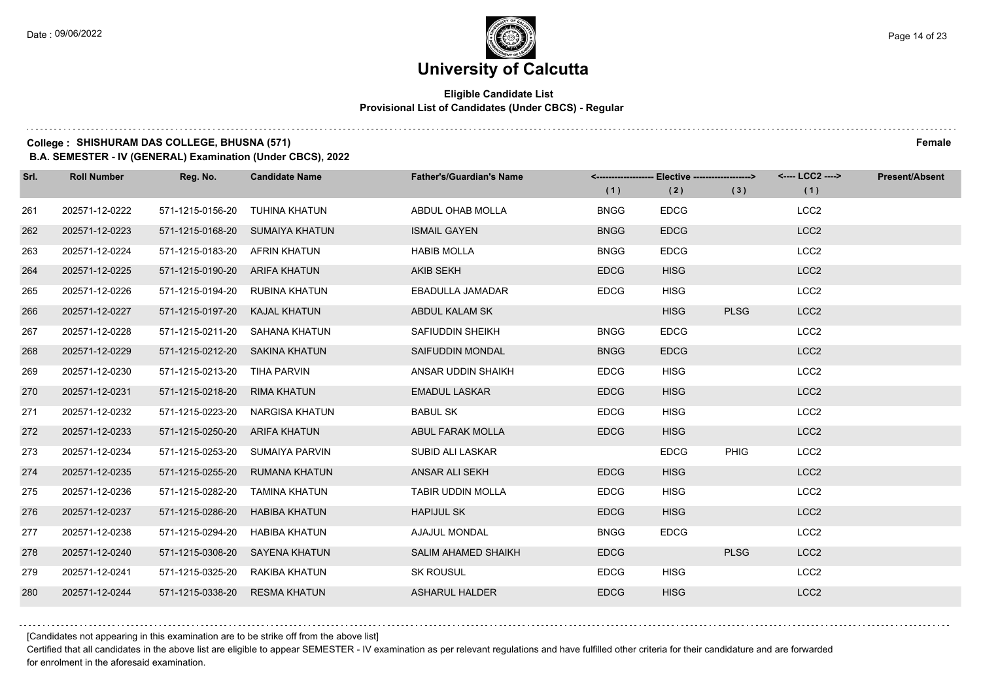#### **Eligible Candidate List Provisional List of Candidates (Under CBCS) - Regular**

**College : SHISHURAM DAS COLLEGE, BHUSNA (571) Female**

**B.A. SEMESTER - IV (GENERAL) Examination (Under CBCS), 2022**

| Srl. | <b>Roll Number</b> | Reg. No.                       | <b>Candidate Name</b>           | <b>Father's/Guardian's Name</b> | (1)         | <-------------------- Elective ------------------><br>(2) | (3)         | <---- LCC2 ----><br>(1) | <b>Present/Absent</b> |
|------|--------------------|--------------------------------|---------------------------------|---------------------------------|-------------|-----------------------------------------------------------|-------------|-------------------------|-----------------------|
| 261  | 202571-12-0222     | 571-1215-0156-20               | TUHINA KHATUN                   | ABDUL OHAB MOLLA                | <b>BNGG</b> | <b>EDCG</b>                                               |             | LCC <sub>2</sub>        |                       |
| 262  | 202571-12-0223     |                                | 571-1215-0168-20 SUMAIYA KHATUN | <b>ISMAIL GAYEN</b>             | <b>BNGG</b> | <b>EDCG</b>                                               |             | LCC <sub>2</sub>        |                       |
| 263  | 202571-12-0224     | 571-1215-0183-20 AFRIN KHATUN  |                                 | <b>HABIB MOLLA</b>              | <b>BNGG</b> | <b>EDCG</b>                                               |             | LCC <sub>2</sub>        |                       |
| 264  | 202571-12-0225     | 571-1215-0190-20 ARIFA KHATUN  |                                 | <b>AKIB SEKH</b>                | <b>EDCG</b> | <b>HISG</b>                                               |             | LCC <sub>2</sub>        |                       |
| 265  | 202571-12-0226     | 571-1215-0194-20 RUBINA KHATUN |                                 | EBADULLA JAMADAR                | <b>EDCG</b> | <b>HISG</b>                                               |             | LCC <sub>2</sub>        |                       |
| 266  | 202571-12-0227     | 571-1215-0197-20 KAJAL KHATUN  |                                 | ABDUL KALAM SK                  |             | <b>HISG</b>                                               | <b>PLSG</b> | LCC <sub>2</sub>        |                       |
| 267  | 202571-12-0228     |                                | 571-1215-0211-20 SAHANA KHATUN  | SAFIUDDIN SHEIKH                | <b>BNGG</b> | <b>EDCG</b>                                               |             | LCC <sub>2</sub>        |                       |
| 268  | 202571-12-0229     | 571-1215-0212-20 SAKINA KHATUN |                                 | SAIFUDDIN MONDAL                | <b>BNGG</b> | <b>EDCG</b>                                               |             | LCC <sub>2</sub>        |                       |
| 269  | 202571-12-0230     | 571-1215-0213-20               | TIHA PARVIN                     | ANSAR UDDIN SHAIKH              | <b>EDCG</b> | <b>HISG</b>                                               |             | LCC <sub>2</sub>        |                       |
| 270  | 202571-12-0231     | 571-1215-0218-20 RIMA KHATUN   |                                 | <b>EMADUL LASKAR</b>            | <b>EDCG</b> | <b>HISG</b>                                               |             | LCC <sub>2</sub>        |                       |
| 271  | 202571-12-0232     |                                | 571-1215-0223-20 NARGISA KHATUN | <b>BABUL SK</b>                 | <b>EDCG</b> | <b>HISG</b>                                               |             | LCC <sub>2</sub>        |                       |
| 272  | 202571-12-0233     | 571-1215-0250-20 ARIFA KHATUN  |                                 | ABUL FARAK MOLLA                | <b>EDCG</b> | <b>HISG</b>                                               |             | LCC <sub>2</sub>        |                       |
| 273  | 202571-12-0234     | 571-1215-0253-20               | SUMAIYA PARVIN                  | SUBID ALI LASKAR                |             | <b>EDCG</b>                                               | <b>PHIG</b> | LCC <sub>2</sub>        |                       |
| 274  | 202571-12-0235     |                                | 571-1215-0255-20 RUMANA KHATUN  | ANSAR ALI SEKH                  | <b>EDCG</b> | <b>HISG</b>                                               |             | LCC <sub>2</sub>        |                       |
| 275  | 202571-12-0236     | 571-1215-0282-20               | TAMINA KHATUN                   | TABIR UDDIN MOLLA               | <b>EDCG</b> | <b>HISG</b>                                               |             | LCC <sub>2</sub>        |                       |
| 276  | 202571-12-0237     | 571-1215-0286-20 HABIBA KHATUN |                                 | <b>HAPIJUL SK</b>               | <b>EDCG</b> | <b>HISG</b>                                               |             | LCC <sub>2</sub>        |                       |
| 277  | 202571-12-0238     | 571-1215-0294-20               | <b>HABIBA KHATUN</b>            | AJAJUL MONDAL                   | <b>BNGG</b> | <b>EDCG</b>                                               |             | LCC <sub>2</sub>        |                       |
| 278  | 202571-12-0240     |                                | 571-1215-0308-20 SAYENA KHATUN  | <b>SALIM AHAMED SHAIKH</b>      | <b>EDCG</b> |                                                           | <b>PLSG</b> | LCC <sub>2</sub>        |                       |
| 279  | 202571-12-0241     | 571-1215-0325-20 RAKIBA KHATUN |                                 | <b>SK ROUSUL</b>                | <b>EDCG</b> | <b>HISG</b>                                               |             | LCC <sub>2</sub>        |                       |
| 280  | 202571-12-0244     | 571-1215-0338-20 RESMA KHATUN  |                                 | <b>ASHARUL HALDER</b>           | <b>EDCG</b> | <b>HISG</b>                                               |             | LCC <sub>2</sub>        |                       |

[Candidates not appearing in this examination are to be strike off from the above list]

Certified that all candidates in the above list are eligible to appear SEMESTER - IV examination as per relevant regulations and have fulfilled other criteria for their candidature and are forwarded for enrolment in the aforesaid examination.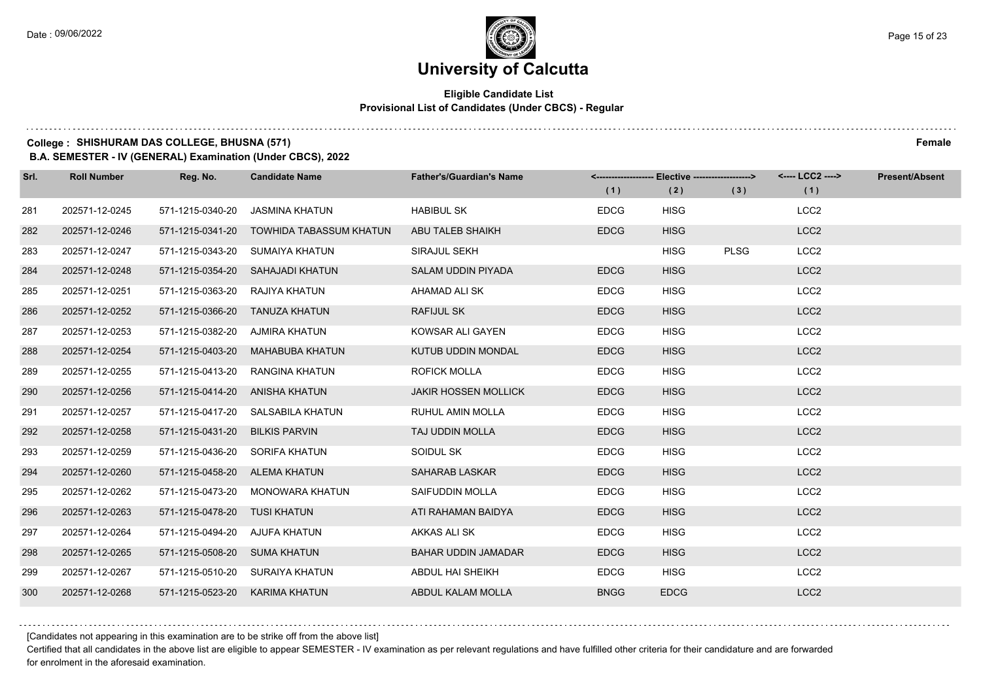#### **Eligible Candidate List Provisional List of Candidates (Under CBCS) - Regular**

### **College : SHISHURAM DAS COLLEGE, BHUSNA (571) Female**

**B.A. SEMESTER - IV (GENERAL) Examination (Under CBCS), 2022**

| Srl. | <b>Roll Number</b> | Reg. No.                       | <b>Candidate Name</b>                    | <b>Father's/Guardian's Name</b> | (1)         | <------------------- Elective -------------------><br>(2) | (3)         | <---- LCC2 ----><br>(1) | <b>Present/Absent</b> |
|------|--------------------|--------------------------------|------------------------------------------|---------------------------------|-------------|-----------------------------------------------------------|-------------|-------------------------|-----------------------|
| 281  | 202571-12-0245     | 571-1215-0340-20               | JASMINA KHATUN                           | <b>HABIBUL SK</b>               | <b>EDCG</b> | <b>HISG</b>                                               |             | LCC <sub>2</sub>        |                       |
| 282  | 202571-12-0246     |                                | 571-1215-0341-20 TOWHIDA TABASSUM KHATUN | ABU TALEB SHAIKH                | <b>EDCG</b> | <b>HISG</b>                                               |             | LCC <sub>2</sub>        |                       |
| 283  | 202571-12-0247     |                                | 571-1215-0343-20 SUMAIYA KHATUN          | SIRAJUL SEKH                    |             | <b>HISG</b>                                               | <b>PLSG</b> | LCC <sub>2</sub>        |                       |
| 284  | 202571-12-0248     |                                | 571-1215-0354-20 SAHAJADI KHATUN         | SALAM UDDIN PIYADA              | <b>EDCG</b> | <b>HISG</b>                                               |             | LCC <sub>2</sub>        |                       |
| 285  | 202571-12-0251     | 571-1215-0363-20               | RAJIYA KHATUN                            | AHAMAD ALI SK                   | <b>EDCG</b> | <b>HISG</b>                                               |             | LCC <sub>2</sub>        |                       |
| 286  | 202571-12-0252     | 571-1215-0366-20 TANUZA KHATUN |                                          | <b>RAFIJUL SK</b>               | <b>EDCG</b> | <b>HISG</b>                                               |             | LCC <sub>2</sub>        |                       |
| 287  | 202571-12-0253     | 571-1215-0382-20 AJMIRA KHATUN |                                          | KOWSAR ALI GAYEN                | <b>EDCG</b> | <b>HISG</b>                                               |             | LCC <sub>2</sub>        |                       |
| 288  | 202571-12-0254     | 571-1215-0403-20               | MAHABUBA KHATUN                          | KUTUB UDDIN MONDAL              | <b>EDCG</b> | <b>HISG</b>                                               |             | LCC <sub>2</sub>        |                       |
| 289  | 202571-12-0255     | 571-1215-0413-20               | RANGINA KHATUN                           | <b>ROFICK MOLLA</b>             | <b>EDCG</b> | <b>HISG</b>                                               |             | LCC <sub>2</sub>        |                       |
| 290  | 202571-12-0256     | 571-1215-0414-20 ANISHA KHATUN |                                          | <b>JAKIR HOSSEN MOLLICK</b>     | <b>EDCG</b> | <b>HISG</b>                                               |             | LCC <sub>2</sub>        |                       |
| 291  | 202571-12-0257     |                                | 571-1215-0417-20 SALSABILA KHATUN        | RUHUL AMIN MOLLA                | <b>EDCG</b> | <b>HISG</b>                                               |             | LCC <sub>2</sub>        |                       |
| 292  | 202571-12-0258     | 571-1215-0431-20               | <b>BILKIS PARVIN</b>                     | TAJ UDDIN MOLLA                 | <b>EDCG</b> | <b>HISG</b>                                               |             | LCC <sub>2</sub>        |                       |
| 293  | 202571-12-0259     | 571-1215-0436-20               | SORIFA KHATUN                            | SOIDUL SK                       | <b>EDCG</b> | <b>HISG</b>                                               |             | LCC <sub>2</sub>        |                       |
| 294  | 202571-12-0260     | 571-1215-0458-20 ALEMA KHATUN  |                                          | <b>SAHARAB LASKAR</b>           | <b>EDCG</b> | <b>HISG</b>                                               |             | LCC <sub>2</sub>        |                       |
| 295  | 202571-12-0262     | 571-1215-0473-20               | MONOWARA KHATUN                          | SAIFUDDIN MOLLA                 | <b>EDCG</b> | <b>HISG</b>                                               |             | LCC <sub>2</sub>        |                       |
| 296  | 202571-12-0263     | 571-1215-0478-20 TUSI KHATUN   |                                          | ATI RAHAMAN BAIDYA              | <b>EDCG</b> | <b>HISG</b>                                               |             | LCC <sub>2</sub>        |                       |
| 297  | 202571-12-0264     | 571-1215-0494-20               | AJUFA KHATUN                             | AKKAS ALI SK                    | <b>EDCG</b> | <b>HISG</b>                                               |             | LCC <sub>2</sub>        |                       |
| 298  | 202571-12-0265     | 571-1215-0508-20 SUMA KHATUN   |                                          | <b>BAHAR UDDIN JAMADAR</b>      | <b>EDCG</b> | <b>HISG</b>                                               |             | LCC <sub>2</sub>        |                       |
| 299  | 202571-12-0267     |                                | 571-1215-0510-20 SURAIYA KHATUN          | ABDUL HAI SHEIKH                | <b>EDCG</b> | <b>HISG</b>                                               |             | LCC <sub>2</sub>        |                       |
| 300  | 202571-12-0268     | 571-1215-0523-20               | KARIMA KHATUN                            | ABDUL KALAM MOLLA               | <b>BNGG</b> | <b>EDCG</b>                                               |             | LCC <sub>2</sub>        |                       |

[Candidates not appearing in this examination are to be strike off from the above list]

Certified that all candidates in the above list are eligible to appear SEMESTER - IV examination as per relevant regulations and have fulfilled other criteria for their candidature and are forwarded for enrolment in the aforesaid examination.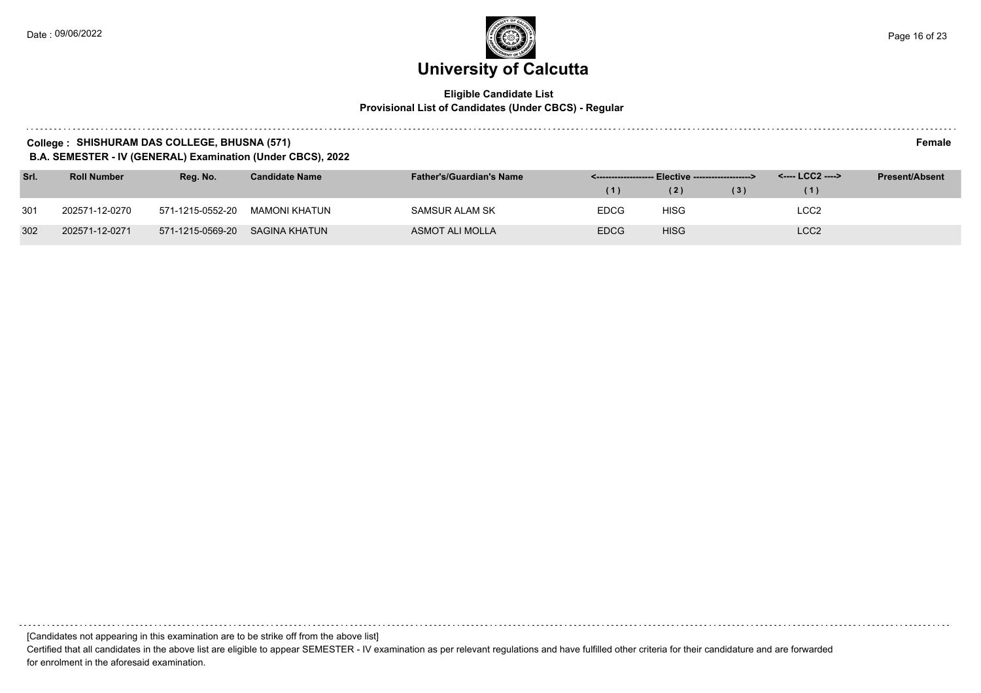#### **Eligible Candidate List Provisional List of Candidates (Under CBCS) - Regular**

#### **College : SHISHURAM DAS COLLEGE, BHUSNA (571) Female**

**B.A. SEMESTER - IV (GENERAL) Examination (Under CBCS), 2022**

| Srl. | <b>Roll Number</b> | Reg. No.         | <b>Candidate Name</b> | <b>Father's/Guardian's Name</b> |             | <-------------------- Elective -------------------> |     | <---- LCC2 ----> | <b>Present/Absent</b> |
|------|--------------------|------------------|-----------------------|---------------------------------|-------------|-----------------------------------------------------|-----|------------------|-----------------------|
|      |                    |                  |                       |                                 | (1)         | (2)                                                 | (3) |                  |                       |
| 301  | 202571-12-0270     | 571-1215-0552-20 | MAMONI KHATUN         | SAMSUR ALAM SK                  | <b>EDCG</b> | <b>HISG</b>                                         |     | LCC2             |                       |
| 302  | 202571-12-0271     | 571-1215-0569-20 | SAGINA KHATUN         | ASMOT ALI MOLLA                 | <b>EDCG</b> | <b>HISG</b>                                         |     | LCC <sub>2</sub> |                       |

[Candidates not appearing in this examination are to be strike off from the above list]

Certified that all candidates in the above list are eligible to appear SEMESTER - IV examination as per relevant regulations and have fulfilled other criteria for their candidature and are forwarded for enrolment in the aforesaid examination.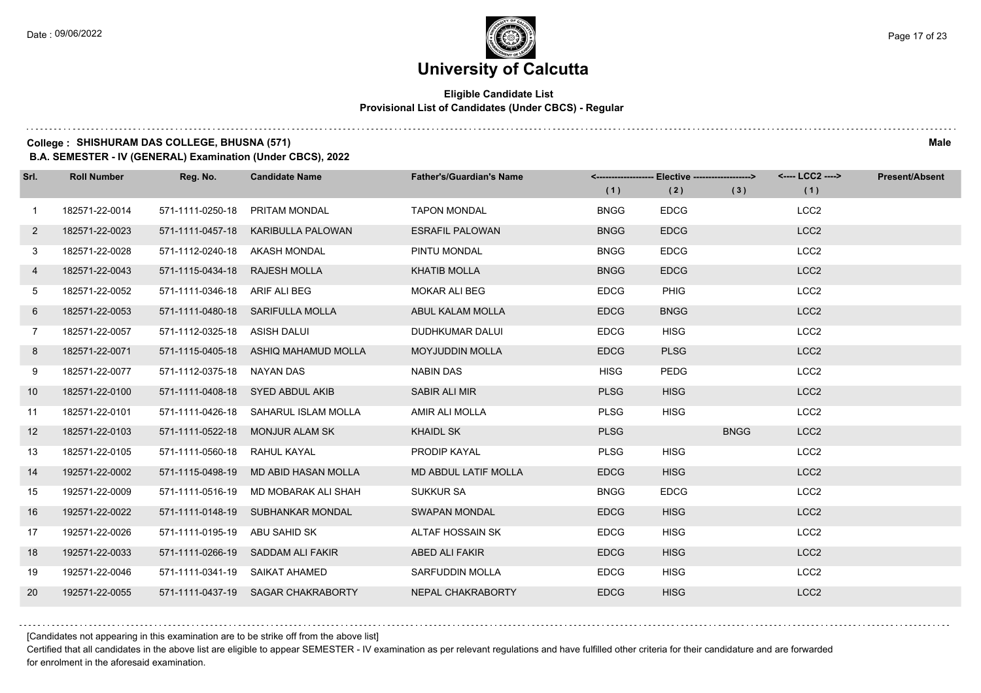#### **Eligible Candidate List Provisional List of Candidates (Under CBCS) - Regular**

**College : SHISHURAM DAS COLLEGE, BHUSNA (571) Male**

**B.A. SEMESTER - IV (GENERAL) Examination (Under CBCS), 2022**

| Srl.         | <b>Roll Number</b> | Reg. No.                      | <b>Candidate Name</b>                | <b>Father's/Guardian's Name</b> |             | <------------------- Elective ------------------> |             | <---- LCC2 ----> | <b>Present/Absent</b> |
|--------------|--------------------|-------------------------------|--------------------------------------|---------------------------------|-------------|---------------------------------------------------|-------------|------------------|-----------------------|
|              |                    |                               |                                      |                                 | (1)         | (2)                                               | (3)         | (1)              |                       |
| $\mathbf{1}$ | 182571-22-0014     | 571-1111-0250-18              | PRITAM MONDAL                        | <b>TAPON MONDAL</b>             | <b>BNGG</b> | <b>EDCG</b>                                       |             | LCC <sub>2</sub> |                       |
| $\mathbf{2}$ | 182571-22-0023     |                               | 571-1111-0457-18 KARIBULLA PALOWAN   | <b>ESRAFIL PALOWAN</b>          | <b>BNGG</b> | <b>EDCG</b>                                       |             | LCC <sub>2</sub> |                       |
| 3            | 182571-22-0028     | 571-1112-0240-18 AKASH MONDAL |                                      | PINTU MONDAL                    | <b>BNGG</b> | <b>EDCG</b>                                       |             | LCC <sub>2</sub> |                       |
| 4            | 182571-22-0043     | 571-1115-0434-18 RAJESH MOLLA |                                      | <b>KHATIB MOLLA</b>             | <b>BNGG</b> | <b>EDCG</b>                                       |             | LCC <sub>2</sub> |                       |
| 5            | 182571-22-0052     | 571-1111-0346-18 ARIF ALI BEG |                                      | <b>MOKAR ALI BEG</b>            | <b>EDCG</b> | PHIG                                              |             | LCC <sub>2</sub> |                       |
| 6            | 182571-22-0053     |                               | 571-1111-0480-18 SARIFULLA MOLLA     | ABUL KALAM MOLLA                | <b>EDCG</b> | <b>BNGG</b>                                       |             | LCC <sub>2</sub> |                       |
| $7^{\circ}$  | 182571-22-0057     | 571-1112-0325-18 ASISH DALUI  |                                      | DUDHKUMAR DALUI                 | <b>EDCG</b> | <b>HISG</b>                                       |             | LCC <sub>2</sub> |                       |
| 8            | 182571-22-0071     |                               | 571-1115-0405-18 ASHIQ MAHAMUD MOLLA | <b>MOYJUDDIN MOLLA</b>          | <b>EDCG</b> | <b>PLSG</b>                                       |             | LCC <sub>2</sub> |                       |
| 9            | 182571-22-0077     | 571-1112-0375-18 NAYAN DAS    |                                      | <b>NABIN DAS</b>                | <b>HISG</b> | <b>PEDG</b>                                       |             | LCC <sub>2</sub> |                       |
| 10           | 182571-22-0100     |                               | 571-1111-0408-18 SYED ABDUL AKIB     | SABIR ALI MIR                   | <b>PLSG</b> | <b>HISG</b>                                       |             | LCC <sub>2</sub> |                       |
| 11           | 182571-22-0101     |                               | 571-1111-0426-18 SAHARUL ISLAM MOLLA | AMIR ALI MOLLA                  | <b>PLSG</b> | <b>HISG</b>                                       |             | LCC <sub>2</sub> |                       |
| 12           | 182571-22-0103     |                               | 571-1111-0522-18 MONJUR ALAM SK      | <b>KHAIDL SK</b>                | <b>PLSG</b> |                                                   | <b>BNGG</b> | LCC <sub>2</sub> |                       |
| 13           | 182571-22-0105     | 571-1111-0560-18 RAHUL KAYAL  |                                      | PRODIP KAYAL                    | <b>PLSG</b> | <b>HISG</b>                                       |             | LCC <sub>2</sub> |                       |
| 14           | 192571-22-0002     |                               | 571-1115-0498-19 MD ABID HASAN MOLLA | <b>MD ABDUL LATIF MOLLA</b>     | <b>EDCG</b> | <b>HISG</b>                                       |             | LCC <sub>2</sub> |                       |
| 15           | 192571-22-0009     | 571-1111-0516-19              | MD MOBARAK ALI SHAH                  | <b>SUKKUR SA</b>                | <b>BNGG</b> | <b>EDCG</b>                                       |             | LCC <sub>2</sub> |                       |
| 16           | 192571-22-0022     |                               | 571-1111-0148-19 SUBHANKAR MONDAL    | <b>SWAPAN MONDAL</b>            | <b>EDCG</b> | <b>HISG</b>                                       |             | LCC <sub>2</sub> |                       |
| 17           | 192571-22-0026     | 571-1111-0195-19              | ABU SAHID SK                         | ALTAF HOSSAIN SK                | <b>EDCG</b> | <b>HISG</b>                                       |             | LCC <sub>2</sub> |                       |
| 18           | 192571-22-0033     |                               | 571-1111-0266-19 SADDAM ALI FAKIR    | <b>ABED ALI FAKIR</b>           | <b>EDCG</b> | <b>HISG</b>                                       |             | LCC <sub>2</sub> |                       |
| 19           | 192571-22-0046     |                               | 571-1111-0341-19 SAIKAT AHAMED       | <b>SARFUDDIN MOLLA</b>          | <b>EDCG</b> | <b>HISG</b>                                       |             | LCC <sub>2</sub> |                       |
| 20           | 192571-22-0055     |                               | 571-1111-0437-19 SAGAR CHAKRABORTY   | NEPAL CHAKRABORTY               | <b>EDCG</b> | <b>HISG</b>                                       |             | LCC <sub>2</sub> |                       |

[Candidates not appearing in this examination are to be strike off from the above list]

Certified that all candidates in the above list are eligible to appear SEMESTER - IV examination as per relevant regulations and have fulfilled other criteria for their candidature and are forwarded for enrolment in the aforesaid examination.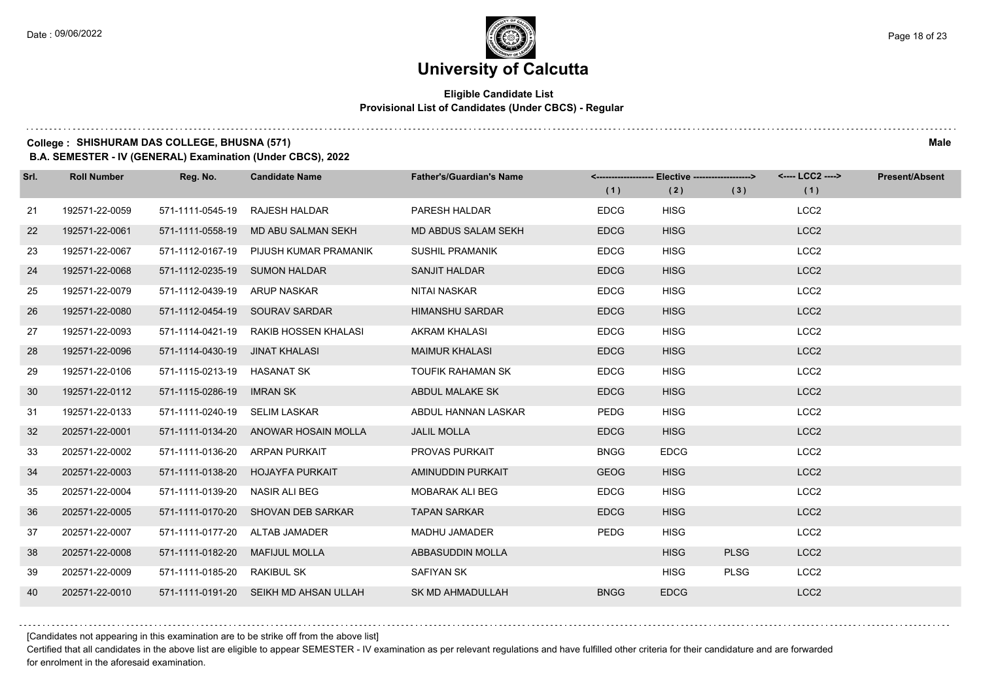#### **Eligible Candidate List Provisional List of Candidates (Under CBCS) - Regular**

**College : SHISHURAM DAS COLLEGE, BHUSNA (571) Male**

**B.A. SEMESTER - IV (GENERAL) Examination (Under CBCS), 2022**

| Srl. | <b>Roll Number</b> | Reg. No.                       | <b>Candidate Name</b>                 | <b>Father's/Guardian's Name</b> |             | <-------------------- Elective -------------------> |             | <---- LCC2 ----> | <b>Present/Absent</b> |
|------|--------------------|--------------------------------|---------------------------------------|---------------------------------|-------------|-----------------------------------------------------|-------------|------------------|-----------------------|
|      |                    |                                |                                       |                                 | (1)         | (2)                                                 | (3)         | (1)              |                       |
| 21   | 192571-22-0059     | 571-1111-0545-19               | <b>RAJESH HALDAR</b>                  | PARESH HALDAR                   | <b>EDCG</b> | <b>HISG</b>                                         |             | LCC <sub>2</sub> |                       |
| 22   | 192571-22-0061     | 571-1111-0558-19               | MD ABU SALMAN SEKH                    | <b>MD ABDUS SALAM SEKH</b>      | <b>EDCG</b> | <b>HISG</b>                                         |             | LCC <sub>2</sub> |                       |
| 23   | 192571-22-0067     | 571-1112-0167-19               | PIJUSH KUMAR PRAMANIK                 | <b>SUSHIL PRAMANIK</b>          | <b>EDCG</b> | <b>HISG</b>                                         |             | LCC <sub>2</sub> |                       |
| 24   | 192571-22-0068     | 571-1112-0235-19 SUMON HALDAR  |                                       | SANJIT HALDAR                   | <b>EDCG</b> | <b>HISG</b>                                         |             | LCC <sub>2</sub> |                       |
| 25   | 192571-22-0079     | 571-1112-0439-19               | ARUP NASKAR                           | NITAI NASKAR                    | <b>EDCG</b> | <b>HISG</b>                                         |             | LCC <sub>2</sub> |                       |
| 26   | 192571-22-0080     |                                | 571-1112-0454-19 SOURAV SARDAR        | <b>HIMANSHU SARDAR</b>          | <b>EDCG</b> | <b>HISG</b>                                         |             | LCC <sub>2</sub> |                       |
| 27   | 192571-22-0093     |                                | 571-1114-0421-19 RAKIB HOSSEN KHALASI | AKRAM KHALASI                   | <b>EDCG</b> | <b>HISG</b>                                         |             | LCC <sub>2</sub> |                       |
| 28   | 192571-22-0096     | 571-1114-0430-19 JINAT KHALASI |                                       | <b>MAIMUR KHALASI</b>           | <b>EDCG</b> | <b>HISG</b>                                         |             | LCC <sub>2</sub> |                       |
| 29   | 192571-22-0106     | 571-1115-0213-19               | HASANAT SK                            | TOUFIK RAHAMAN SK               | <b>EDCG</b> | <b>HISG</b>                                         |             | LCC <sub>2</sub> |                       |
| 30   | 192571-22-0112     | 571-1115-0286-19               | <b>IMRAN SK</b>                       | ABDUL MALAKE SK                 | <b>EDCG</b> | <b>HISG</b>                                         |             | LCC <sub>2</sub> |                       |
| 31   | 192571-22-0133     | 571-1111-0240-19 SELIM LASKAR  |                                       | ABDUL HANNAN LASKAR             | <b>PEDG</b> | <b>HISG</b>                                         |             | LCC <sub>2</sub> |                       |
| 32   | 202571-22-0001     |                                | 571-1111-0134-20 ANOWAR HOSAIN MOLLA  | <b>JALIL MOLLA</b>              | <b>EDCG</b> | <b>HISG</b>                                         |             | LCC <sub>2</sub> |                       |
| 33   | 202571-22-0002     | 571-1111-0136-20               | ARPAN PURKAIT                         | <b>PROVAS PURKAIT</b>           | <b>BNGG</b> | <b>EDCG</b>                                         |             | LCC <sub>2</sub> |                       |
| 34   | 202571-22-0003     | 571-1111-0138-20               | <b>HOJAYFA PURKAIT</b>                | AMINUDDIN PURKAIT               | <b>GEOG</b> | <b>HISG</b>                                         |             | LCC <sub>2</sub> |                       |
| 35   | 202571-22-0004     | 571-1111-0139-20               | NASIR ALI BEG                         | <b>MOBARAK ALI BEG</b>          | <b>EDCG</b> | <b>HISG</b>                                         |             | LCC <sub>2</sub> |                       |
| 36   | 202571-22-0005     |                                | 571-1111-0170-20 SHOVAN DEB SARKAR    | <b>TAPAN SARKAR</b>             | <b>EDCG</b> | <b>HISG</b>                                         |             | LCC <sub>2</sub> |                       |
| 37   | 202571-22-0007     | 571-1111-0177-20               | ALTAB JAMADER                         | <b>MADHU JAMADER</b>            | <b>PEDG</b> | <b>HISG</b>                                         |             | LCC <sub>2</sub> |                       |
| 38   | 202571-22-0008     | 571-1111-0182-20               | <b>MAFIJUL MOLLA</b>                  | ABBASUDDIN MOLLA                |             | <b>HISG</b>                                         | <b>PLSG</b> | LCC <sub>2</sub> |                       |
| 39   | 202571-22-0009     | 571-1111-0185-20               | RAKIBUL SK                            | SAFIYAN SK                      |             | <b>HISG</b>                                         | <b>PLSG</b> | LCC <sub>2</sub> |                       |
| 40   | 202571-22-0010     |                                | 571-1111-0191-20 SEIKH MD AHSAN ULLAH | <b>SK MD AHMADULLAH</b>         | <b>BNGG</b> | <b>EDCG</b>                                         |             | LCC <sub>2</sub> |                       |

[Candidates not appearing in this examination are to be strike off from the above list]

Certified that all candidates in the above list are eligible to appear SEMESTER - IV examination as per relevant regulations and have fulfilled other criteria for their candidature and are forwarded for enrolment in the aforesaid examination.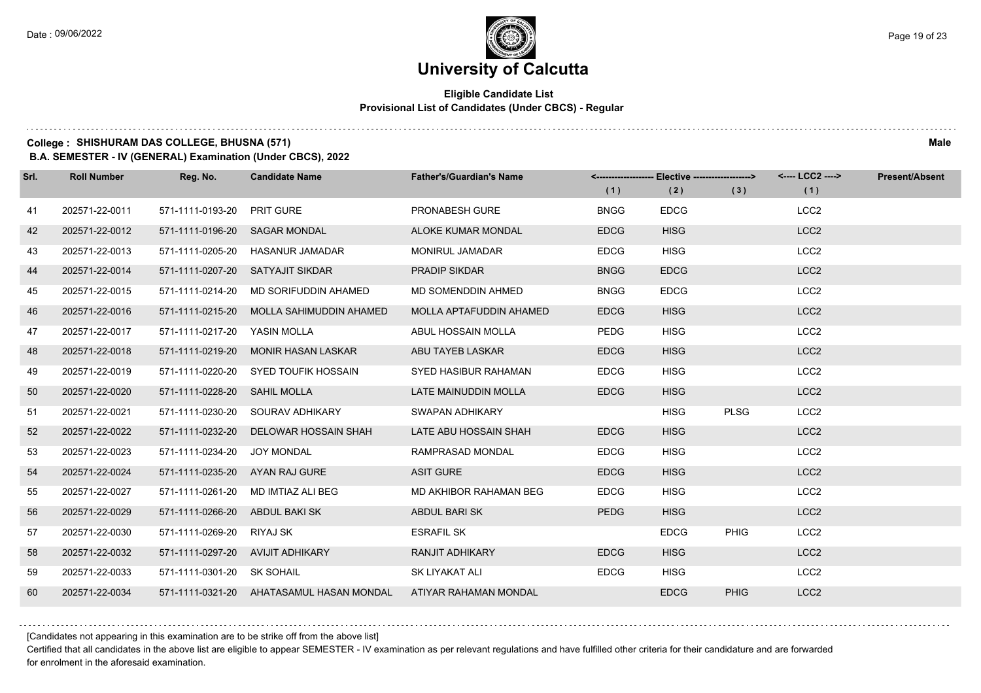#### **Eligible Candidate List Provisional List of Candidates (Under CBCS) - Regular**

**College : SHISHURAM DAS COLLEGE, BHUSNA (571) Male**

**B.A. SEMESTER - IV (GENERAL) Examination (Under CBCS), 2022**

| Srl. | <b>Roll Number</b> | Reg. No.                       | <b>Candidate Name</b>                    | <b>Father's/Guardian's Name</b> | (1)         | <-------------------- Elective ------------------><br>(2) | (3)         | <---- LCC2 ----><br>(1) | <b>Present/Absent</b> |
|------|--------------------|--------------------------------|------------------------------------------|---------------------------------|-------------|-----------------------------------------------------------|-------------|-------------------------|-----------------------|
|      |                    |                                |                                          |                                 |             |                                                           |             |                         |                       |
| 41   | 202571-22-0011     | 571-1111-0193-20               | <b>PRIT GURE</b>                         | PRONABESH GURE                  | <b>BNGG</b> | <b>EDCG</b>                                               |             | LCC <sub>2</sub>        |                       |
| 42   | 202571-22-0012     | 571-1111-0196-20 SAGAR MONDAL  |                                          | <b>ALOKE KUMAR MONDAL</b>       | <b>EDCG</b> | <b>HISG</b>                                               |             | LCC <sub>2</sub>        |                       |
| 43   | 202571-22-0013     | 571-1111-0205-20               | HASANUR JAMADAR                          | <b>MONIRUL JAMADAR</b>          | <b>EDCG</b> | <b>HISG</b>                                               |             | LCC <sub>2</sub>        |                       |
| 44   | 202571-22-0014     |                                | 571-1111-0207-20 SATYAJIT SIKDAR         | <b>PRADIP SIKDAR</b>            | <b>BNGG</b> | <b>EDCG</b>                                               |             | LCC <sub>2</sub>        |                       |
| 45   | 202571-22-0015     | 571-1111-0214-20               | MD SORIFUDDIN AHAMED                     | MD SOMENDDIN AHMED              | <b>BNGG</b> | <b>EDCG</b>                                               |             | LCC <sub>2</sub>        |                       |
| 46   | 202571-22-0016     | 571-1111-0215-20               | MOLLA SAHIMUDDIN AHAMED                  | MOLLA APTAFUDDIN AHAMED         | <b>EDCG</b> | <b>HISG</b>                                               |             | LCC <sub>2</sub>        |                       |
| 47   | 202571-22-0017     | 571-1111-0217-20               | YASIN MOLLA                              | ABUL HOSSAIN MOLLA              | <b>PEDG</b> | <b>HISG</b>                                               |             | LCC <sub>2</sub>        |                       |
| 48   | 202571-22-0018     | 571-1111-0219-20               | <b>MONIR HASAN LASKAR</b>                | ABU TAYEB LASKAR                | <b>EDCG</b> | <b>HISG</b>                                               |             | LCC <sub>2</sub>        |                       |
| 49   | 202571-22-0019     | 571-1111-0220-20               | SYED TOUFIK HOSSAIN                      | SYED HASIBUR RAHAMAN            | <b>EDCG</b> | <b>HISG</b>                                               |             | LCC <sub>2</sub>        |                       |
| 50   | 202571-22-0020     | 571-1111-0228-20               | <b>SAHIL MOLLA</b>                       | LATE MAINUDDIN MOLLA            | <b>EDCG</b> | <b>HISG</b>                                               |             | LCC <sub>2</sub>        |                       |
| 51   | 202571-22-0021     |                                | 571-1111-0230-20 SOURAV ADHIKARY         | SWAPAN ADHIKARY                 |             | <b>HISG</b>                                               | <b>PLSG</b> | LCC <sub>2</sub>        |                       |
| 52   | 202571-22-0022     | 571-1111-0232-20               | DELOWAR HOSSAIN SHAH                     | LATE ABU HOSSAIN SHAH           | <b>EDCG</b> | <b>HISG</b>                                               |             | LCC <sub>2</sub>        |                       |
| 53   | 202571-22-0023     | 571-1111-0234-20               | JOY MONDAL                               | RAMPRASAD MONDAL                | <b>EDCG</b> | <b>HISG</b>                                               |             | LCC <sub>2</sub>        |                       |
| 54   | 202571-22-0024     | 571-1111-0235-20               | AYAN RAJ GURE                            | <b>ASIT GURE</b>                | <b>EDCG</b> | <b>HISG</b>                                               |             | LCC <sub>2</sub>        |                       |
| 55   | 202571-22-0027     |                                | 571-1111-0261-20 MD IMTIAZ ALI BEG       | MD AKHIBOR RAHAMAN BEG          | <b>EDCG</b> | <b>HISG</b>                                               |             | LCC <sub>2</sub>        |                       |
| 56   | 202571-22-0029     | 571-1111-0266-20 ABDUL BAKI SK |                                          | ABDUL BARI SK                   | <b>PEDG</b> | <b>HISG</b>                                               |             | LCC <sub>2</sub>        |                       |
| 57   | 202571-22-0030     | 571-1111-0269-20 RIYAJ SK      |                                          | <b>ESRAFIL SK</b>               |             | <b>EDCG</b>                                               | <b>PHIG</b> | LCC <sub>2</sub>        |                       |
| 58   | 202571-22-0032     |                                | 571-1111-0297-20 AVIJIT ADHIKARY         | <b>RANJIT ADHIKARY</b>          | <b>EDCG</b> | <b>HISG</b>                                               |             | LCC <sub>2</sub>        |                       |
| 59   | 202571-22-0033     | 571-1111-0301-20 SK SOHAIL     |                                          | SK LIYAKAT ALI                  | <b>EDCG</b> | <b>HISG</b>                                               |             | LCC <sub>2</sub>        |                       |
| 60   | 202571-22-0034     |                                | 571-1111-0321-20 AHATASAMUL HASAN MONDAL | ATIYAR RAHAMAN MONDAL           |             | <b>EDCG</b>                                               | <b>PHIG</b> | LCC <sub>2</sub>        |                       |

[Candidates not appearing in this examination are to be strike off from the above list]

Certified that all candidates in the above list are eligible to appear SEMESTER - IV examination as per relevant regulations and have fulfilled other criteria for their candidature and are forwarded for enrolment in the aforesaid examination.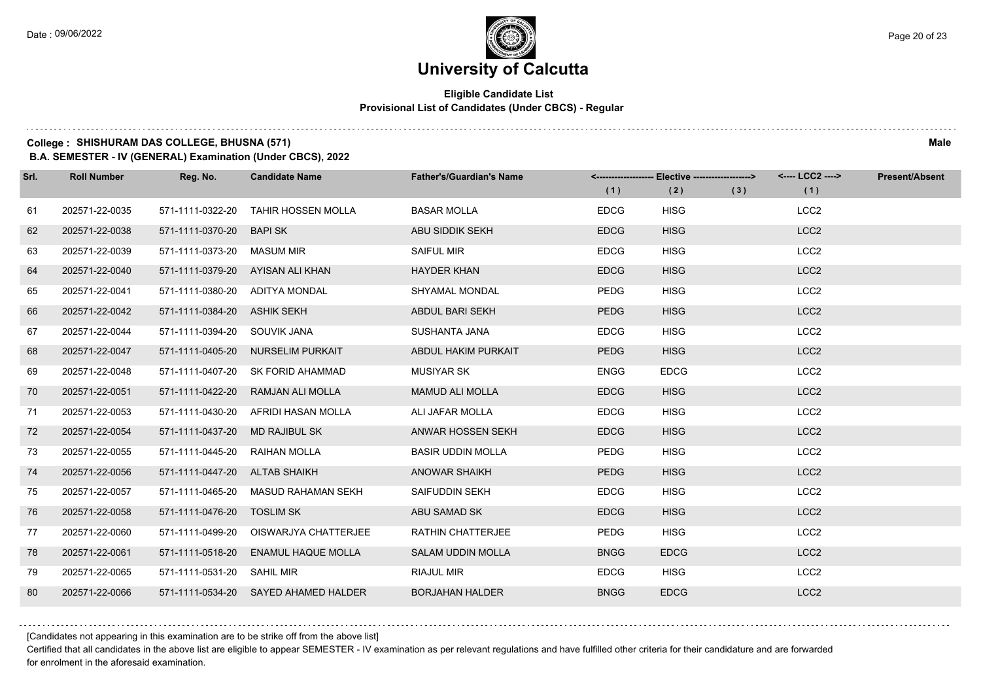#### **Eligible Candidate List Provisional List of Candidates (Under CBCS) - Regular**

**College : SHISHURAM DAS COLLEGE, BHUSNA (571) Male**

**B.A. SEMESTER - IV (GENERAL) Examination (Under CBCS), 2022**

| Srl. | <b>Roll Number</b> | Reg. No.                       | <b>Candidate Name</b>                  | <b>Father's/Guardian's Name</b> |             | <------------------- Elective ------------------> |     | <---- LCC2 ----> | <b>Present/Absent</b> |
|------|--------------------|--------------------------------|----------------------------------------|---------------------------------|-------------|---------------------------------------------------|-----|------------------|-----------------------|
|      |                    |                                |                                        |                                 | (1)         | (2)                                               | (3) | (1)              |                       |
| 61   | 202571-22-0035     | 571-1111-0322-20               | <b>TAHIR HOSSEN MOLLA</b>              | <b>BASAR MOLLA</b>              | <b>EDCG</b> | <b>HISG</b>                                       |     | LCC <sub>2</sub> |                       |
| 62   | 202571-22-0038     | 571-1111-0370-20               | <b>BAPI SK</b>                         | ABU SIDDIK SEKH                 | <b>EDCG</b> | <b>HISG</b>                                       |     | LCC <sub>2</sub> |                       |
| 63   | 202571-22-0039     | 571-1111-0373-20 MASUM MIR     |                                        | <b>SAIFUL MIR</b>               | <b>EDCG</b> | <b>HISG</b>                                       |     | LCC <sub>2</sub> |                       |
| 64   | 202571-22-0040     |                                | 571-1111-0379-20 AYISAN ALI KHAN       | <b>HAYDER KHAN</b>              | <b>EDCG</b> | <b>HISG</b>                                       |     | LCC <sub>2</sub> |                       |
| 65   | 202571-22-0041     | 571-1111-0380-20               | ADITYA MONDAL                          | SHYAMAL MONDAL                  | <b>PEDG</b> | <b>HISG</b>                                       |     | LCC <sub>2</sub> |                       |
| 66   | 202571-22-0042     | 571-1111-0384-20 ASHIK SEKH    |                                        | ABDUL BARI SEKH                 | <b>PEDG</b> | <b>HISG</b>                                       |     | LCC <sub>2</sub> |                       |
| 67   | 202571-22-0044     | 571-1111-0394-20 SOUVIK JANA   |                                        | SUSHANTA JANA                   | <b>EDCG</b> | <b>HISG</b>                                       |     | LCC <sub>2</sub> |                       |
| 68   | 202571-22-0047     |                                | 571-1111-0405-20 NURSELIM PURKAIT      | ABDUL HAKIM PURKAIT             | <b>PEDG</b> | <b>HISG</b>                                       |     | LCC <sub>2</sub> |                       |
| 69   | 202571-22-0048     | 571-1111-0407-20               | SK FORID AHAMMAD                       | <b>MUSIYAR SK</b>               | <b>ENGG</b> | <b>EDCG</b>                                       |     | LCC <sub>2</sub> |                       |
| 70   | 202571-22-0051     | 571-1111-0422-20               | RAMJAN ALI MOLLA                       | <b>MAMUD ALI MOLLA</b>          | <b>EDCG</b> | <b>HISG</b>                                       |     | LCC <sub>2</sub> |                       |
| 71   | 202571-22-0053     |                                | 571-1111-0430-20    AFRIDI HASAN MOLLA | ALI JAFAR MOLLA                 | <b>EDCG</b> | <b>HISG</b>                                       |     | LCC <sub>2</sub> |                       |
| 72   | 202571-22-0054     | 571-1111-0437-20 MD RAJIBUL SK |                                        | ANWAR HOSSEN SEKH               | <b>EDCG</b> | <b>HISG</b>                                       |     | LCC <sub>2</sub> |                       |
| 73   | 202571-22-0055     | 571-1111-0445-20 RAIHAN MOLLA  |                                        | <b>BASIR UDDIN MOLLA</b>        | PEDG        | <b>HISG</b>                                       |     | LCC <sub>2</sub> |                       |
| 74   | 202571-22-0056     | 571-1111-0447-20 ALTAB SHAIKH  |                                        | <b>ANOWAR SHAIKH</b>            | <b>PEDG</b> | <b>HISG</b>                                       |     | LCC <sub>2</sub> |                       |
| 75   | 202571-22-0057     |                                | 571-1111-0465-20 MASUD RAHAMAN SEKH    | SAIFUDDIN SEKH                  | <b>EDCG</b> | <b>HISG</b>                                       |     | LCC <sub>2</sub> |                       |
| 76   | 202571-22-0058     | 571-1111-0476-20 TOSLIM SK     |                                        | ABU SAMAD SK                    | <b>EDCG</b> | <b>HISG</b>                                       |     | LCC <sub>2</sub> |                       |
| 77   | 202571-22-0060     | 571-1111-0499-20               | OISWARJYA CHATTERJEE                   | RATHIN CHATTERJEE               | PEDG        | <b>HISG</b>                                       |     | LCC <sub>2</sub> |                       |
| 78   | 202571-22-0061     | 571-1111-0518-20               | <b>ENAMUL HAQUE MOLLA</b>              | <b>SALAM UDDIN MOLLA</b>        | <b>BNGG</b> | <b>EDCG</b>                                       |     | LCC <sub>2</sub> |                       |
| 79   | 202571-22-0065     | 571-1111-0531-20 SAHIL MIR     |                                        | <b>RIAJUL MIR</b>               | <b>EDCG</b> | <b>HISG</b>                                       |     | LCC <sub>2</sub> |                       |
| 80   | 202571-22-0066     |                                | 571-1111-0534-20 SAYED AHAMED HALDER   | <b>BORJAHAN HALDER</b>          | <b>BNGG</b> | <b>EDCG</b>                                       |     | LCC <sub>2</sub> |                       |

[Candidates not appearing in this examination are to be strike off from the above list]

Certified that all candidates in the above list are eligible to appear SEMESTER - IV examination as per relevant regulations and have fulfilled other criteria for their candidature and are forwarded for enrolment in the aforesaid examination.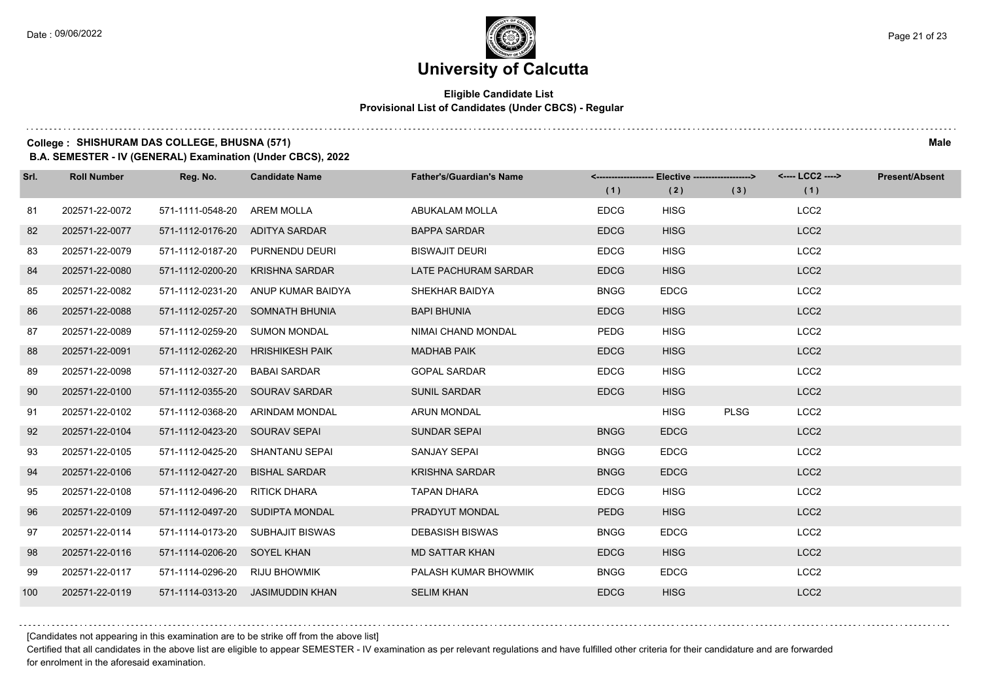$1.1.1.1$ 

# **University of Calcutta**

#### **Eligible Candidate List Provisional List of Candidates (Under CBCS) - Regular**

### **College : SHISHURAM DAS COLLEGE, BHUSNA (571) Male**

**B.A. SEMESTER - IV (GENERAL) Examination (Under CBCS), 2022**

| Srl. | <b>Roll Number</b> | Reg. No.                      | <b>Candidate Name</b>            | <b>Father's/Guardian's Name</b> | (1)         | <-------------------- Elective -------------------><br>(2) | (3)         | <---- LCC2 ----><br>(1) | <b>Present/Absent</b> |
|------|--------------------|-------------------------------|----------------------------------|---------------------------------|-------------|------------------------------------------------------------|-------------|-------------------------|-----------------------|
| 81   | 202571-22-0072     | 571-1111-0548-20              | AREM MOLLA                       | ABUKALAM MOLLA                  | <b>EDCG</b> | <b>HISG</b>                                                |             | LCC <sub>2</sub>        |                       |
| 82   | 202571-22-0077     | 571-1112-0176-20              | ADITYA SARDAR                    | <b>BAPPA SARDAR</b>             | <b>EDCG</b> | <b>HISG</b>                                                |             | LCC <sub>2</sub>        |                       |
| 83   | 202571-22-0079     | 571-1112-0187-20              | PURNENDU DEURI                   | <b>BISWAJIT DEURI</b>           | <b>EDCG</b> | <b>HISG</b>                                                |             | LCC <sub>2</sub>        |                       |
| 84   | 202571-22-0080     | 571-1112-0200-20              | <b>KRISHNA SARDAR</b>            | LATE PACHURAM SARDAR            | <b>EDCG</b> | <b>HISG</b>                                                |             | LCC <sub>2</sub>        |                       |
| 85   | 202571-22-0082     | 571-1112-0231-20              | ANUP KUMAR BAIDYA                | SHEKHAR BAIDYA                  | <b>BNGG</b> | <b>EDCG</b>                                                |             | LCC <sub>2</sub>        |                       |
| 86   | 202571-22-0088     |                               | 571-1112-0257-20 SOMNATH BHUNIA  | <b>BAPI BHUNIA</b>              | <b>EDCG</b> | <b>HISG</b>                                                |             | LCC <sub>2</sub>        |                       |
| 87   | 202571-22-0089     | 571-1112-0259-20 SUMON MONDAL |                                  | <b>NIMAI CHAND MONDAL</b>       | <b>PEDG</b> | <b>HISG</b>                                                |             | LCC <sub>2</sub>        |                       |
| 88   | 202571-22-0091     | 571-1112-0262-20              | <b>HRISHIKESH PAIK</b>           | <b>MADHAB PAIK</b>              | <b>EDCG</b> | <b>HISG</b>                                                |             | LCC <sub>2</sub>        |                       |
| 89   | 202571-22-0098     | 571-1112-0327-20              | <b>BABAI SARDAR</b>              | <b>GOPAL SARDAR</b>             | <b>EDCG</b> | <b>HISG</b>                                                |             | LCC <sub>2</sub>        |                       |
| 90   | 202571-22-0100     |                               | 571-1112-0355-20 SOURAV SARDAR   | <b>SUNIL SARDAR</b>             | <b>EDCG</b> | <b>HISG</b>                                                |             | LCC <sub>2</sub>        |                       |
| 91   | 202571-22-0102     | 571-1112-0368-20              | ARINDAM MONDAL                   | <b>ARUN MONDAL</b>              |             | <b>HISG</b>                                                | <b>PLSG</b> | LCC <sub>2</sub>        |                       |
| 92   | 202571-22-0104     | 571-1112-0423-20 SOURAV SEPAI |                                  | <b>SUNDAR SEPAI</b>             | <b>BNGG</b> | <b>EDCG</b>                                                |             | LCC <sub>2</sub>        |                       |
| 93   | 202571-22-0105     | 571-1112-0425-20              | SHANTANU SEPAI                   | <b>SANJAY SEPAI</b>             | <b>BNGG</b> | <b>EDCG</b>                                                |             | LCC <sub>2</sub>        |                       |
| 94   | 202571-22-0106     | 571-1112-0427-20              | <b>BISHAL SARDAR</b>             | <b>KRISHNA SARDAR</b>           | <b>BNGG</b> | <b>EDCG</b>                                                |             | LCC <sub>2</sub>        |                       |
| 95   | 202571-22-0108     | 571-1112-0496-20              | <b>RITICK DHARA</b>              | <b>TAPAN DHARA</b>              | <b>EDCG</b> | <b>HISG</b>                                                |             | LCC <sub>2</sub>        |                       |
| 96   | 202571-22-0109     |                               | 571-1112-0497-20 SUDIPTA MONDAL  | PRADYUT MONDAL                  | <b>PEDG</b> | <b>HISG</b>                                                |             | LCC <sub>2</sub>        |                       |
| 97   | 202571-22-0114     | 571-1114-0173-20              | <b>SUBHAJIT BISWAS</b>           | <b>DEBASISH BISWAS</b>          | <b>BNGG</b> | <b>EDCG</b>                                                |             | LCC <sub>2</sub>        |                       |
| 98   | 202571-22-0116     | 571-1114-0206-20 SOYEL KHAN   |                                  | <b>MD SATTAR KHAN</b>           | <b>EDCG</b> | <b>HISG</b>                                                |             | LCC <sub>2</sub>        |                       |
| 99   | 202571-22-0117     | 571-1114-0296-20              | <b>RIJU BHOWMIK</b>              | PALASH KUMAR BHOWMIK            | <b>BNGG</b> | <b>EDCG</b>                                                |             | LCC <sub>2</sub>        |                       |
| 100  | 202571-22-0119     |                               | 571-1114-0313-20 JASIMUDDIN KHAN | <b>SELIM KHAN</b>               | <b>EDCG</b> | <b>HISG</b>                                                |             | LCC <sub>2</sub>        |                       |

[Candidates not appearing in this examination are to be strike off from the above list]

Certified that all candidates in the above list are eligible to appear SEMESTER - IV examination as per relevant regulations and have fulfilled other criteria for their candidature and are forwarded for enrolment in the aforesaid examination.

and a state of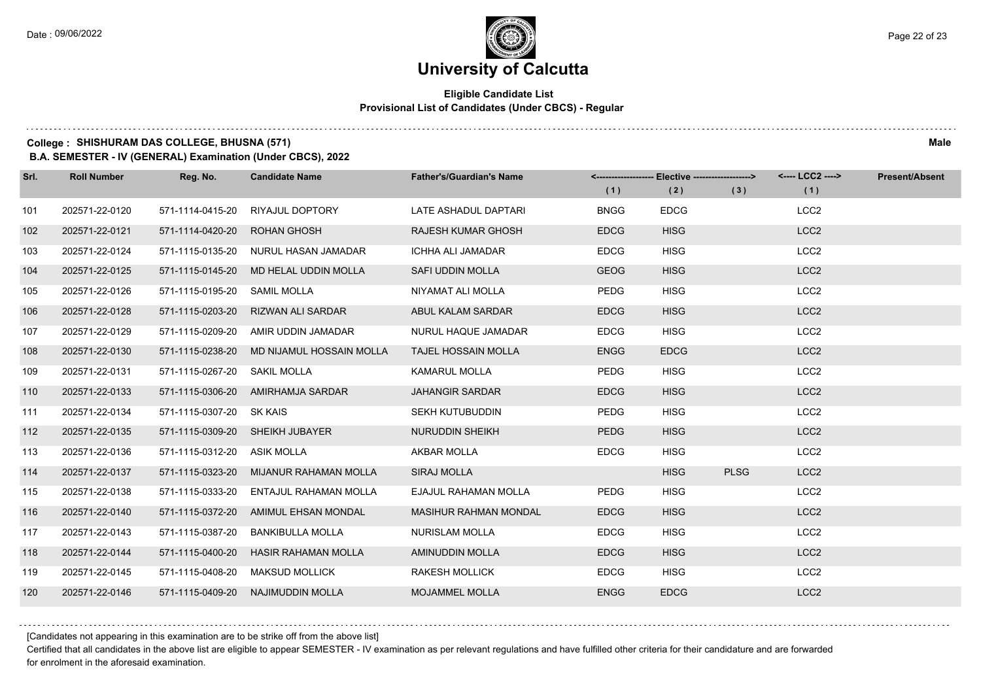#### **Eligible Candidate List Provisional List of Candidates (Under CBCS) - Regular**

**College : SHISHURAM DAS COLLEGE, BHUSNA (571) Male**

**B.A. SEMESTER - IV (GENERAL) Examination (Under CBCS), 2022**

| Srl. | <b>Roll Number</b> | Reg. No.                 | <b>Candidate Name</b>        | <b>Father's/Guardian's Name</b> | (1)         | <------------------- Elective ------------------><br>(2) | (3)         | <---- LCC2 ----><br>(1) | <b>Present/Absent</b> |
|------|--------------------|--------------------------|------------------------------|---------------------------------|-------------|----------------------------------------------------------|-------------|-------------------------|-----------------------|
|      |                    |                          |                              |                                 |             |                                                          |             |                         |                       |
| 101  | 202571-22-0120     | 571-1114-0415-20         | RIYAJUL DOPTORY              | LATE ASHADUL DAPTARI            | <b>BNGG</b> | <b>EDCG</b>                                              |             | LCC <sub>2</sub>        |                       |
| 102  | 202571-22-0121     | 571-1114-0420-20         | <b>ROHAN GHOSH</b>           | <b>RAJESH KUMAR GHOSH</b>       | <b>EDCG</b> | <b>HISG</b>                                              |             | LCC <sub>2</sub>        |                       |
| 103  | 202571-22-0124     | 571-1115-0135-20         | NURUL HASAN JAMADAR          | <b>ICHHA ALI JAMADAR</b>        | <b>EDCG</b> | <b>HISG</b>                                              |             | LCC <sub>2</sub>        |                       |
| 104  | 202571-22-0125     | 571-1115-0145-20         | MD HELAL UDDIN MOLLA         | SAFI UDDIN MOLLA                | <b>GEOG</b> | <b>HISG</b>                                              |             | LCC <sub>2</sub>        |                       |
| 105  | 202571-22-0126     | 571-1115-0195-20         | <b>SAMIL MOLLA</b>           | NIYAMAT ALI MOLLA               | PEDG        | <b>HISG</b>                                              |             | LCC <sub>2</sub>        |                       |
| 106  | 202571-22-0128     | 571-1115-0203-20         | <b>RIZWAN ALI SARDAR</b>     | ABUL KALAM SARDAR               | <b>EDCG</b> | <b>HISG</b>                                              |             | LCC <sub>2</sub>        |                       |
| 107  | 202571-22-0129     | 571-1115-0209-20         | AMIR UDDIN JAMADAR           | NURUL HAQUE JAMADAR             | <b>EDCG</b> | <b>HISG</b>                                              |             | LCC <sub>2</sub>        |                       |
| 108  | 202571-22-0130     | 571-1115-0238-20         | MD NIJAMUL HOSSAIN MOLLA     | <b>TAJEL HOSSAIN MOLLA</b>      | <b>ENGG</b> | <b>EDCG</b>                                              |             | LCC <sub>2</sub>        |                       |
| 109  | 202571-22-0131     | 571-1115-0267-20         | <b>SAKIL MOLLA</b>           | <b>KAMARUL MOLLA</b>            | PEDG        | <b>HISG</b>                                              |             | LCC <sub>2</sub>        |                       |
| 110  | 202571-22-0133     | 571-1115-0306-20         | AMIRHAMJA SARDAR             | <b>JAHANGIR SARDAR</b>          | <b>EDCG</b> | <b>HISG</b>                                              |             | LCC <sub>2</sub>        |                       |
| 111  | 202571-22-0134     | 571-1115-0307-20 SK KAIS |                              | <b>SEKH KUTUBUDDIN</b>          | <b>PEDG</b> | <b>HISG</b>                                              |             | LCC <sub>2</sub>        |                       |
| 112  | 202571-22-0135     | 571-1115-0309-20         | SHEIKH JUBAYER               | NURUDDIN SHEIKH                 | <b>PEDG</b> | <b>HISG</b>                                              |             | LCC <sub>2</sub>        |                       |
| 113  | 202571-22-0136     | 571-1115-0312-20         | <b>ASIK MOLLA</b>            | AKBAR MOLLA                     | <b>EDCG</b> | <b>HISG</b>                                              |             | LCC <sub>2</sub>        |                       |
| 114  | 202571-22-0137     | 571-1115-0323-20         | <b>MIJANUR RAHAMAN MOLLA</b> | <b>SIRAJ MOLLA</b>              |             | <b>HISG</b>                                              | <b>PLSG</b> | LCC <sub>2</sub>        |                       |
| 115  | 202571-22-0138     | 571-1115-0333-20         | ENTAJUL RAHAMAN MOLLA        | EJAJUL RAHAMAN MOLLA            | <b>PEDG</b> | <b>HISG</b>                                              |             | LCC <sub>2</sub>        |                       |
| 116  | 202571-22-0140     | 571-1115-0372-20         | AMIMUL EHSAN MONDAL          | <b>MASIHUR RAHMAN MONDAL</b>    | <b>EDCG</b> | <b>HISG</b>                                              |             | LCC <sub>2</sub>        |                       |
| 117  | 202571-22-0143     | 571-1115-0387-20         | <b>BANKIBULLA MOLLA</b>      | <b>NURISLAM MOLLA</b>           | <b>EDCG</b> | <b>HISG</b>                                              |             | LCC <sub>2</sub>        |                       |
| 118  | 202571-22-0144     | 571-1115-0400-20         | <b>HASIR RAHAMAN MOLLA</b>   | <b>AMINUDDIN MOLLA</b>          | <b>EDCG</b> | <b>HISG</b>                                              |             | LCC <sub>2</sub>        |                       |
| 119  | 202571-22-0145     | 571-1115-0408-20         | <b>MAKSUD MOLLICK</b>        | <b>RAKESH MOLLICK</b>           | <b>EDCG</b> | <b>HISG</b>                                              |             | LCC <sub>2</sub>        |                       |
| 120  | 202571-22-0146     | 571-1115-0409-20         | NAJIMUDDIN MOLLA             | <b>MOJAMMEL MOLLA</b>           | <b>ENGG</b> | <b>EDCG</b>                                              |             | LCC <sub>2</sub>        |                       |

[Candidates not appearing in this examination are to be strike off from the above list]

Certified that all candidates in the above list are eligible to appear SEMESTER - IV examination as per relevant regulations and have fulfilled other criteria for their candidature and are forwarded for enrolment in the aforesaid examination.